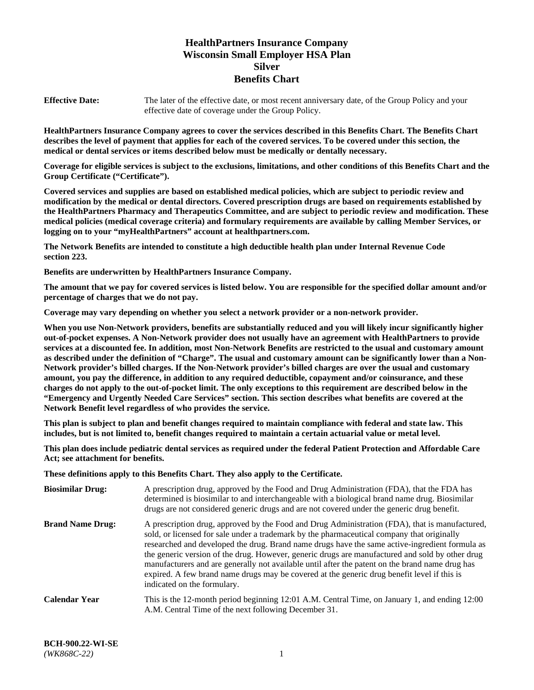# **HealthPartners Insurance Company Wisconsin Small Employer HSA Plan Silver Benefits Chart**

**Effective Date:** The later of the effective date, or most recent anniversary date, of the Group Policy and your effective date of coverage under the Group Policy.

**HealthPartners Insurance Company agrees to cover the services described in this Benefits Chart. The Benefits Chart describes the level of payment that applies for each of the covered services. To be covered under this section, the medical or dental services or items described below must be medically or dentally necessary.**

**Coverage for eligible services is subject to the exclusions, limitations, and other conditions of this Benefits Chart and the Group Certificate ("Certificate").**

**Covered services and supplies are based on established medical policies, which are subject to periodic review and modification by the medical or dental directors. Covered prescription drugs are based on requirements established by the HealthPartners Pharmacy and Therapeutics Committee, and are subject to periodic review and modification. These medical policies (medical coverage criteria) and formulary requirements are available by calling Member Services, or logging on to your "myHealthPartners" account at [healthpartners.com.](https://www.healthpartners.com/hp/index.html)** 

**The Network Benefits are intended to constitute a high deductible health plan under Internal Revenue Code section 223.**

**Benefits are underwritten by HealthPartners Insurance Company.**

**The amount that we pay for covered services is listed below. You are responsible for the specified dollar amount and/or percentage of charges that we do not pay.**

**Coverage may vary depending on whether you select a network provider or a non-network provider.**

**When you use Non-Network providers, benefits are substantially reduced and you will likely incur significantly higher out-of-pocket expenses. A Non-Network provider does not usually have an agreement with HealthPartners to provide services at a discounted fee. In addition, most Non-Network Benefits are restricted to the usual and customary amount as described under the definition of "Charge". The usual and customary amount can be significantly lower than a Non-Network provider's billed charges. If the Non-Network provider's billed charges are over the usual and customary amount, you pay the difference, in addition to any required deductible, copayment and/or coinsurance, and these charges do not apply to the out-of-pocket limit. The only exceptions to this requirement are described below in the "Emergency and Urgently Needed Care Services" section. This section describes what benefits are covered at the Network Benefit level regardless of who provides the service.**

**This plan is subject to plan and benefit changes required to maintain compliance with federal and state law. This includes, but is not limited to, benefit changes required to maintain a certain actuarial value or metal level.**

**This plan does include pediatric dental services as required under the federal Patient Protection and Affordable Care Act; see attachment for benefits.**

**These definitions apply to this Benefits Chart. They also apply to the Certificate.**

| <b>Biosimilar Drug:</b> | A prescription drug, approved by the Food and Drug Administration (FDA), that the FDA has<br>determined is biosimilar to and interchangeable with a biological brand name drug. Biosimilar<br>drugs are not considered generic drugs and are not covered under the generic drug benefit.                                                                                                                                                                                                                                                                                                                                           |
|-------------------------|------------------------------------------------------------------------------------------------------------------------------------------------------------------------------------------------------------------------------------------------------------------------------------------------------------------------------------------------------------------------------------------------------------------------------------------------------------------------------------------------------------------------------------------------------------------------------------------------------------------------------------|
| <b>Brand Name Drug:</b> | A prescription drug, approved by the Food and Drug Administration (FDA), that is manufactured,<br>sold, or licensed for sale under a trademark by the pharmaceutical company that originally<br>researched and developed the drug. Brand name drugs have the same active-ingredient formula as<br>the generic version of the drug. However, generic drugs are manufactured and sold by other drug<br>manufacturers and are generally not available until after the patent on the brand name drug has<br>expired. A few brand name drugs may be covered at the generic drug benefit level if this is<br>indicated on the formulary. |
| <b>Calendar Year</b>    | This is the 12-month period beginning 12:01 A.M. Central Time, on January 1, and ending 12:00<br>A.M. Central Time of the next following December 31.                                                                                                                                                                                                                                                                                                                                                                                                                                                                              |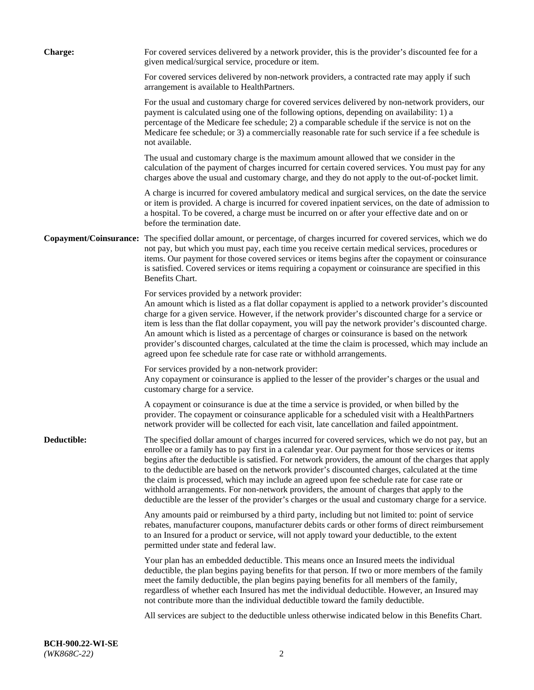| <b>Charge:</b> | For covered services delivered by a network provider, this is the provider's discounted fee for a<br>given medical/surgical service, procedure or item.                                                                                                                                                                                                                                                                                                                                                                                                                                                                                                                                                                 |
|----------------|-------------------------------------------------------------------------------------------------------------------------------------------------------------------------------------------------------------------------------------------------------------------------------------------------------------------------------------------------------------------------------------------------------------------------------------------------------------------------------------------------------------------------------------------------------------------------------------------------------------------------------------------------------------------------------------------------------------------------|
|                | For covered services delivered by non-network providers, a contracted rate may apply if such<br>arrangement is available to HealthPartners.                                                                                                                                                                                                                                                                                                                                                                                                                                                                                                                                                                             |
|                | For the usual and customary charge for covered services delivered by non-network providers, our<br>payment is calculated using one of the following options, depending on availability: 1) a<br>percentage of the Medicare fee schedule; 2) a comparable schedule if the service is not on the<br>Medicare fee schedule; or 3) a commercially reasonable rate for such service if a fee schedule is<br>not available.                                                                                                                                                                                                                                                                                                   |
|                | The usual and customary charge is the maximum amount allowed that we consider in the<br>calculation of the payment of charges incurred for certain covered services. You must pay for any<br>charges above the usual and customary charge, and they do not apply to the out-of-pocket limit.                                                                                                                                                                                                                                                                                                                                                                                                                            |
|                | A charge is incurred for covered ambulatory medical and surgical services, on the date the service<br>or item is provided. A charge is incurred for covered inpatient services, on the date of admission to<br>a hospital. To be covered, a charge must be incurred on or after your effective date and on or<br>before the termination date.                                                                                                                                                                                                                                                                                                                                                                           |
|                | Copayment/Coinsurance: The specified dollar amount, or percentage, of charges incurred for covered services, which we do<br>not pay, but which you must pay, each time you receive certain medical services, procedures or<br>items. Our payment for those covered services or items begins after the copayment or coinsurance<br>is satisfied. Covered services or items requiring a copayment or coinsurance are specified in this<br>Benefits Chart.                                                                                                                                                                                                                                                                 |
|                | For services provided by a network provider:<br>An amount which is listed as a flat dollar copayment is applied to a network provider's discounted<br>charge for a given service. However, if the network provider's discounted charge for a service or<br>item is less than the flat dollar copayment, you will pay the network provider's discounted charge.<br>An amount which is listed as a percentage of charges or coinsurance is based on the network<br>provider's discounted charges, calculated at the time the claim is processed, which may include an<br>agreed upon fee schedule rate for case rate or withhold arrangements.                                                                            |
|                | For services provided by a non-network provider:<br>Any copayment or coinsurance is applied to the lesser of the provider's charges or the usual and<br>customary charge for a service.                                                                                                                                                                                                                                                                                                                                                                                                                                                                                                                                 |
|                | A copayment or coinsurance is due at the time a service is provided, or when billed by the<br>provider. The copayment or coinsurance applicable for a scheduled visit with a HealthPartners<br>network provider will be collected for each visit, late cancellation and failed appointment.                                                                                                                                                                                                                                                                                                                                                                                                                             |
| Deductible:    | The specified dollar amount of charges incurred for covered services, which we do not pay, but an<br>enrollee or a family has to pay first in a calendar year. Our payment for those services or items<br>begins after the deductible is satisfied. For network providers, the amount of the charges that apply<br>to the deductible are based on the network provider's discounted charges, calculated at the time<br>the claim is processed, which may include an agreed upon fee schedule rate for case rate or<br>withhold arrangements. For non-network providers, the amount of charges that apply to the<br>deductible are the lesser of the provider's charges or the usual and customary charge for a service. |
|                | Any amounts paid or reimbursed by a third party, including but not limited to: point of service<br>rebates, manufacturer coupons, manufacturer debits cards or other forms of direct reimbursement<br>to an Insured for a product or service, will not apply toward your deductible, to the extent<br>permitted under state and federal law.                                                                                                                                                                                                                                                                                                                                                                            |
|                | Your plan has an embedded deductible. This means once an Insured meets the individual<br>deductible, the plan begins paying benefits for that person. If two or more members of the family<br>meet the family deductible, the plan begins paying benefits for all members of the family,<br>regardless of whether each Insured has met the individual deductible. However, an Insured may<br>not contribute more than the individual deductible toward the family deductible.                                                                                                                                                                                                                                           |
|                | All services are subject to the deductible unless otherwise indicated below in this Benefits Chart.                                                                                                                                                                                                                                                                                                                                                                                                                                                                                                                                                                                                                     |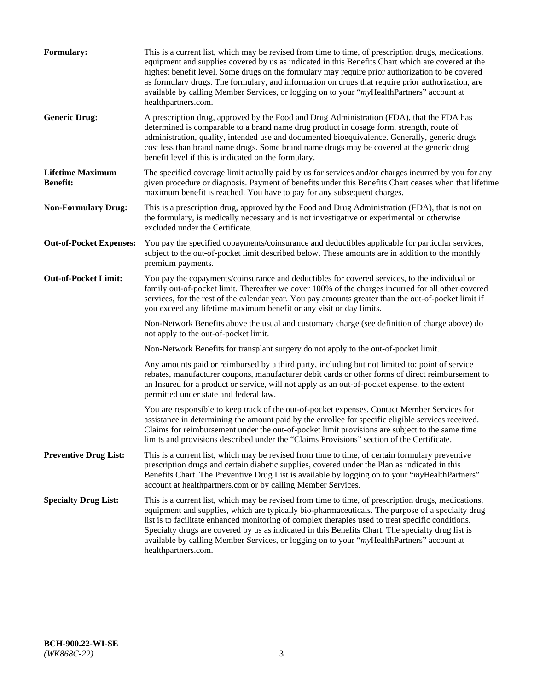| Formulary:                                 | This is a current list, which may be revised from time to time, of prescription drugs, medications,<br>equipment and supplies covered by us as indicated in this Benefits Chart which are covered at the<br>highest benefit level. Some drugs on the formulary may require prior authorization to be covered<br>as formulary drugs. The formulary, and information on drugs that require prior authorization, are<br>available by calling Member Services, or logging on to your "myHealthPartners" account at<br>healthpartners.com. |
|--------------------------------------------|---------------------------------------------------------------------------------------------------------------------------------------------------------------------------------------------------------------------------------------------------------------------------------------------------------------------------------------------------------------------------------------------------------------------------------------------------------------------------------------------------------------------------------------|
| <b>Generic Drug:</b>                       | A prescription drug, approved by the Food and Drug Administration (FDA), that the FDA has<br>determined is comparable to a brand name drug product in dosage form, strength, route of<br>administration, quality, intended use and documented bioequivalence. Generally, generic drugs<br>cost less than brand name drugs. Some brand name drugs may be covered at the generic drug<br>benefit level if this is indicated on the formulary.                                                                                           |
| <b>Lifetime Maximum</b><br><b>Benefit:</b> | The specified coverage limit actually paid by us for services and/or charges incurred by you for any<br>given procedure or diagnosis. Payment of benefits under this Benefits Chart ceases when that lifetime<br>maximum benefit is reached. You have to pay for any subsequent charges.                                                                                                                                                                                                                                              |
| <b>Non-Formulary Drug:</b>                 | This is a prescription drug, approved by the Food and Drug Administration (FDA), that is not on<br>the formulary, is medically necessary and is not investigative or experimental or otherwise<br>excluded under the Certificate.                                                                                                                                                                                                                                                                                                     |
| <b>Out-of-Pocket Expenses:</b>             | You pay the specified copayments/coinsurance and deductibles applicable for particular services,<br>subject to the out-of-pocket limit described below. These amounts are in addition to the monthly<br>premium payments.                                                                                                                                                                                                                                                                                                             |
| <b>Out-of-Pocket Limit:</b>                | You pay the copayments/coinsurance and deductibles for covered services, to the individual or<br>family out-of-pocket limit. Thereafter we cover 100% of the charges incurred for all other covered<br>services, for the rest of the calendar year. You pay amounts greater than the out-of-pocket limit if<br>you exceed any lifetime maximum benefit or any visit or day limits.                                                                                                                                                    |
|                                            | Non-Network Benefits above the usual and customary charge (see definition of charge above) do<br>not apply to the out-of-pocket limit.                                                                                                                                                                                                                                                                                                                                                                                                |
|                                            | Non-Network Benefits for transplant surgery do not apply to the out-of-pocket limit.                                                                                                                                                                                                                                                                                                                                                                                                                                                  |
|                                            | Any amounts paid or reimbursed by a third party, including but not limited to: point of service<br>rebates, manufacturer coupons, manufacturer debit cards or other forms of direct reimbursement to<br>an Insured for a product or service, will not apply as an out-of-pocket expense, to the extent<br>permitted under state and federal law.                                                                                                                                                                                      |
|                                            | You are responsible to keep track of the out-of-pocket expenses. Contact Member Services for<br>assistance in determining the amount paid by the enrollee for specific eligible services received.<br>Claims for reimbursement under the out-of-pocket limit provisions are subject to the same time<br>limits and provisions described under the "Claims Provisions" section of the Certificate.                                                                                                                                     |
| <b>Preventive Drug List:</b>               | This is a current list, which may be revised from time to time, of certain formulary preventive<br>prescription drugs and certain diabetic supplies, covered under the Plan as indicated in this<br>Benefits Chart. The Preventive Drug List is available by logging on to your "myHealthPartners"<br>account at healthpartners.com or by calling Member Services.                                                                                                                                                                    |
| <b>Specialty Drug List:</b>                | This is a current list, which may be revised from time to time, of prescription drugs, medications,<br>equipment and supplies, which are typically bio-pharmaceuticals. The purpose of a specialty drug<br>list is to facilitate enhanced monitoring of complex therapies used to treat specific conditions.<br>Specialty drugs are covered by us as indicated in this Benefits Chart. The specialty drug list is<br>available by calling Member Services, or logging on to your "myHealthPartners" account at<br>healthpartners.com. |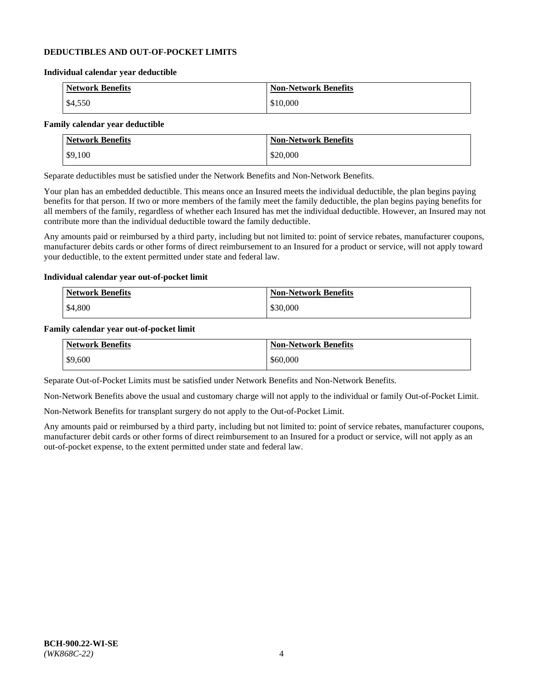## **DEDUCTIBLES AND OUT-OF-POCKET LIMITS**

#### **Individual calendar year deductible**

| <b>Network Benefits</b> | <b>Non-Network Benefits</b> |
|-------------------------|-----------------------------|
| \$4,550                 | \$10,000                    |

## **Family calendar year deductible**

| <b>Network Benefits</b> | <b>Non-Network Benefits</b> |
|-------------------------|-----------------------------|
| \$9,100                 | \$20,000                    |

Separate deductibles must be satisfied under the Network Benefits and Non-Network Benefits.

Your plan has an embedded deductible. This means once an Insured meets the individual deductible, the plan begins paying benefits for that person. If two or more members of the family meet the family deductible, the plan begins paying benefits for all members of the family, regardless of whether each Insured has met the individual deductible. However, an Insured may not contribute more than the individual deductible toward the family deductible.

Any amounts paid or reimbursed by a third party, including but not limited to: point of service rebates, manufacturer coupons, manufacturer debits cards or other forms of direct reimbursement to an Insured for a product or service, will not apply toward your deductible, to the extent permitted under state and federal law.

#### **Individual calendar year out-of-pocket limit**

| Network Benefits | <b>Non-Network Benefits</b> |
|------------------|-----------------------------|
| \$4,800          | \$30,000                    |

#### **Family calendar year out-of-pocket limit**

| <b>Network Benefits</b> | <b>Non-Network Benefits</b> |
|-------------------------|-----------------------------|
| \$9,600                 | \$60,000                    |

Separate Out-of-Pocket Limits must be satisfied under Network Benefits and Non-Network Benefits.

Non-Network Benefits above the usual and customary charge will not apply to the individual or family Out-of-Pocket Limit.

Non-Network Benefits for transplant surgery do not apply to the Out-of-Pocket Limit.

Any amounts paid or reimbursed by a third party, including but not limited to: point of service rebates, manufacturer coupons, manufacturer debit cards or other forms of direct reimbursement to an Insured for a product or service, will not apply as an out-of-pocket expense, to the extent permitted under state and federal law.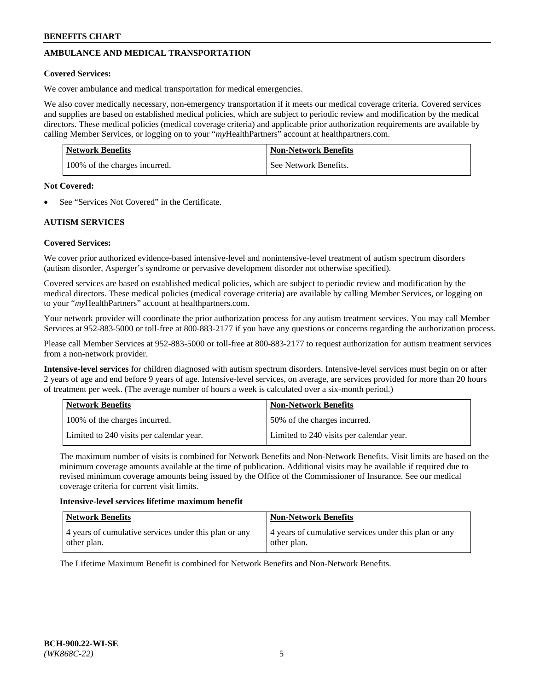# **AMBULANCE AND MEDICAL TRANSPORTATION**

# **Covered Services:**

We cover ambulance and medical transportation for medical emergencies.

We also cover medically necessary, non-emergency transportation if it meets our medical coverage criteria. Covered services and supplies are based on established medical policies, which are subject to periodic review and modification by the medical directors. These medical policies (medical coverage criteria) and applicable prior authorization requirements are available by calling Member Services, or logging on to your "*my*HealthPartners" account a[t healthpartners.com.](https://www.healthpartners.com/hp/index.html)

| Network Benefits              | <b>Non-Network Benefits</b> |
|-------------------------------|-----------------------------|
| 100% of the charges incurred. | See Network Benefits.       |

#### **Not Covered:**

See "Services Not Covered" in the Certificate.

# **AUTISM SERVICES**

# **Covered Services:**

We cover prior authorized evidence-based intensive-level and nonintensive-level treatment of autism spectrum disorders (autism disorder, Asperger's syndrome or pervasive development disorder not otherwise specified).

Covered services are based on established medical policies, which are subject to periodic review and modification by the medical directors. These medical policies (medical coverage criteria) are available by calling Member Services, or logging on to your "*my*HealthPartners" account at [healthpartners.com.](https://www.healthpartners.com/hp/index.html)

Your network provider will coordinate the prior authorization process for any autism treatment services. You may call Member Services at 952-883-5000 or toll-free at 800-883-2177 if you have any questions or concerns regarding the authorization process.

Please call Member Services at 952-883-5000 or toll-free at 800-883-2177 to request authorization for autism treatment services from a non-network provider.

**Intensive-level services** for children diagnosed with autism spectrum disorders. Intensive-level services must begin on or after 2 years of age and end before 9 years of age. Intensive-level services, on average, are services provided for more than 20 hours of treatment per week. (The average number of hours a week is calculated over a six-month period.)

| Network Benefits                         | <b>Non-Network Benefits</b>              |
|------------------------------------------|------------------------------------------|
| 100% of the charges incurred.            | 50% of the charges incurred.             |
| Limited to 240 visits per calendar year. | Limited to 240 visits per calendar year. |

The maximum number of visits is combined for Network Benefits and Non-Network Benefits. Visit limits are based on the minimum coverage amounts available at the time of publication. Additional visits may be available if required due to revised minimum coverage amounts being issued by the Office of the Commissioner of Insurance. See our medical coverage criteria for current visit limits.

#### **Intensive-level services lifetime maximum benefit**

| Network Benefits                                                     | <b>Non-Network Benefits</b>                                          |
|----------------------------------------------------------------------|----------------------------------------------------------------------|
| 4 years of cumulative services under this plan or any<br>other plan. | 4 years of cumulative services under this plan or any<br>other plan. |

The Lifetime Maximum Benefit is combined for Network Benefits and Non-Network Benefits.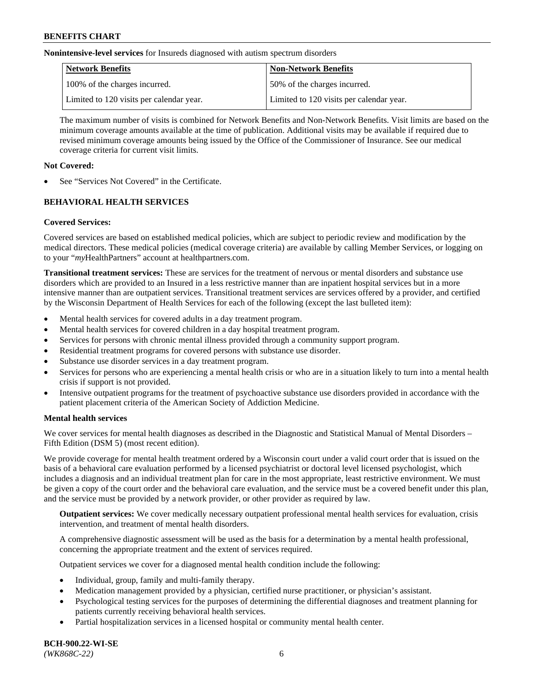**Nonintensive-level services** for Insureds diagnosed with autism spectrum disorders

| Network Benefits                         | <b>Non-Network Benefits</b>              |
|------------------------------------------|------------------------------------------|
| 100% of the charges incurred.            | 50% of the charges incurred.             |
| Limited to 120 visits per calendar year. | Limited to 120 visits per calendar year. |

The maximum number of visits is combined for Network Benefits and Non-Network Benefits. Visit limits are based on the minimum coverage amounts available at the time of publication. Additional visits may be available if required due to revised minimum coverage amounts being issued by the Office of the Commissioner of Insurance. See our medical coverage criteria for current visit limits.

# **Not Covered:**

See "Services Not Covered" in the Certificate.

# **BEHAVIORAL HEALTH SERVICES**

# **Covered Services:**

Covered services are based on established medical policies, which are subject to periodic review and modification by the medical directors. These medical policies (medical coverage criteria) are available by calling Member Services, or logging on to your "*my*HealthPartners" account at [healthpartners.com.](https://www.healthpartners.com/hp/index.html)

**Transitional treatment services:** These are services for the treatment of nervous or mental disorders and substance use disorders which are provided to an Insured in a less restrictive manner than are inpatient hospital services but in a more intensive manner than are outpatient services. Transitional treatment services are services offered by a provider, and certified by the Wisconsin Department of Health Services for each of the following (except the last bulleted item):

- Mental health services for covered adults in a day treatment program.
- Mental health services for covered children in a day hospital treatment program.
- Services for persons with chronic mental illness provided through a community support program.
- Residential treatment programs for covered persons with substance use disorder.
- Substance use disorder services in a day treatment program.
- Services for persons who are experiencing a mental health crisis or who are in a situation likely to turn into a mental health crisis if support is not provided.
- Intensive outpatient programs for the treatment of psychoactive substance use disorders provided in accordance with the patient placement criteria of the American Society of Addiction Medicine.

# **Mental health services**

We cover services for mental health diagnoses as described in the Diagnostic and Statistical Manual of Mental Disorders – Fifth Edition (DSM 5) (most recent edition).

We provide coverage for mental health treatment ordered by a Wisconsin court under a valid court order that is issued on the basis of a behavioral care evaluation performed by a licensed psychiatrist or doctoral level licensed psychologist, which includes a diagnosis and an individual treatment plan for care in the most appropriate, least restrictive environment. We must be given a copy of the court order and the behavioral care evaluation, and the service must be a covered benefit under this plan, and the service must be provided by a network provider, or other provider as required by law.

**Outpatient services:** We cover medically necessary outpatient professional mental health services for evaluation, crisis intervention, and treatment of mental health disorders.

A comprehensive diagnostic assessment will be used as the basis for a determination by a mental health professional, concerning the appropriate treatment and the extent of services required.

Outpatient services we cover for a diagnosed mental health condition include the following:

- Individual, group, family and multi-family therapy.
- Medication management provided by a physician, certified nurse practitioner, or physician's assistant.
- Psychological testing services for the purposes of determining the differential diagnoses and treatment planning for patients currently receiving behavioral health services.
- Partial hospitalization services in a licensed hospital or community mental health center.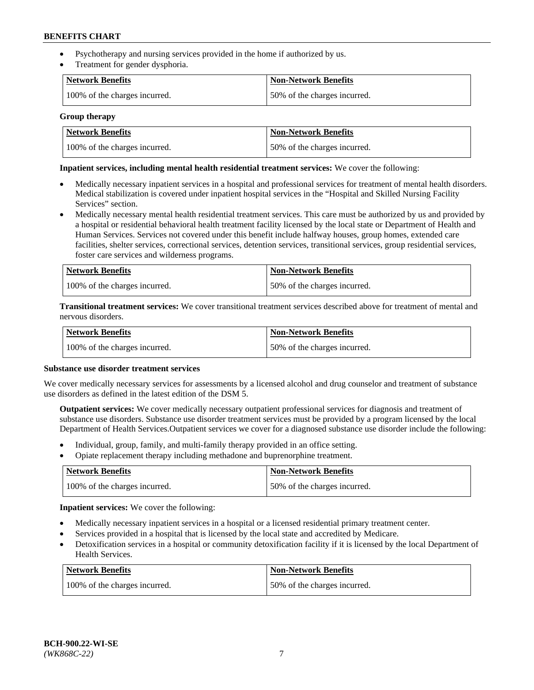- Psychotherapy and nursing services provided in the home if authorized by us.
- Treatment for gender dysphoria.

| Network Benefits              | <b>Non-Network Benefits</b>  |
|-------------------------------|------------------------------|
| 100% of the charges incurred. | 50% of the charges incurred. |

#### **Group therapy**

| Network Benefits              | Non-Network Benefits         |
|-------------------------------|------------------------------|
| 100% of the charges incurred. | 50% of the charges incurred. |

## **Inpatient services, including mental health residential treatment services:** We cover the following:

- Medically necessary inpatient services in a hospital and professional services for treatment of mental health disorders. Medical stabilization is covered under inpatient hospital services in the "Hospital and Skilled Nursing Facility Services" section.
- Medically necessary mental health residential treatment services. This care must be authorized by us and provided by a hospital or residential behavioral health treatment facility licensed by the local state or Department of Health and Human Services. Services not covered under this benefit include halfway houses, group homes, extended care facilities, shelter services, correctional services, detention services, transitional services, group residential services, foster care services and wilderness programs.

| Network Benefits              | <b>Non-Network Benefits</b>  |
|-------------------------------|------------------------------|
| 100% of the charges incurred. | 50% of the charges incurred. |

**Transitional treatment services:** We cover transitional treatment services described above for treatment of mental and nervous disorders.

| Network Benefits              | Non-Network Benefits         |
|-------------------------------|------------------------------|
| 100% of the charges incurred. | 50% of the charges incurred. |

#### **Substance use disorder treatment services**

We cover medically necessary services for assessments by a licensed alcohol and drug counselor and treatment of substance use disorders as defined in the latest edition of the DSM 5.

**Outpatient services:** We cover medically necessary outpatient professional services for diagnosis and treatment of substance use disorders. Substance use disorder treatment services must be provided by a program licensed by the local Department of Health Services.Outpatient services we cover for a diagnosed substance use disorder include the following:

- Individual, group, family, and multi-family therapy provided in an office setting.
- Opiate replacement therapy including methadone and buprenorphine treatment.

| Network Benefits              | <b>Non-Network Benefits</b>  |
|-------------------------------|------------------------------|
| 100% of the charges incurred. | 50% of the charges incurred. |

**Inpatient services:** We cover the following:

- Medically necessary inpatient services in a hospital or a licensed residential primary treatment center.
- Services provided in a hospital that is licensed by the local state and accredited by Medicare.
- Detoxification services in a hospital or community detoxification facility if it is licensed by the local Department of Health Services.

| Network Benefits              | <b>Non-Network Benefits</b>  |
|-------------------------------|------------------------------|
| 100% of the charges incurred. | 50% of the charges incurred. |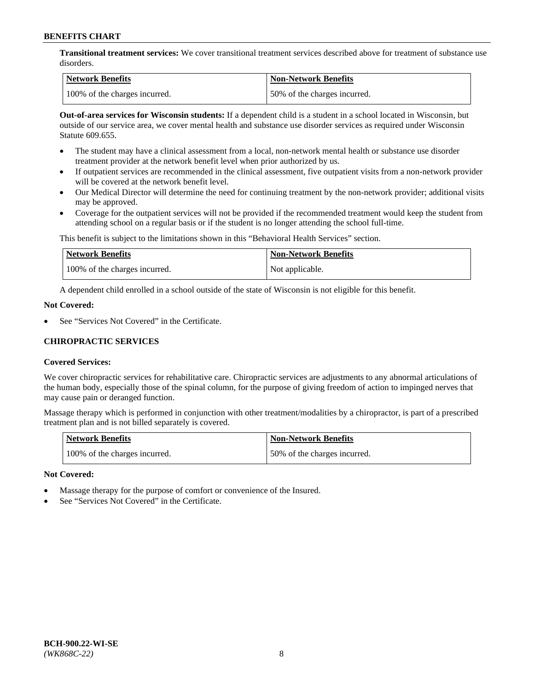**Transitional treatment services:** We cover transitional treatment services described above for treatment of substance use disorders.

| Network Benefits              | <b>Non-Network Benefits</b>  |
|-------------------------------|------------------------------|
| 100% of the charges incurred. | 50% of the charges incurred. |

**Out-of-area services for Wisconsin students:** If a dependent child is a student in a school located in Wisconsin, but outside of our service area, we cover mental health and substance use disorder services as required under Wisconsin Statute 609.655.

- The student may have a clinical assessment from a local, non-network mental health or substance use disorder treatment provider at the network benefit level when prior authorized by us.
- If outpatient services are recommended in the clinical assessment, five outpatient visits from a non-network provider will be covered at the network benefit level.
- Our Medical Director will determine the need for continuing treatment by the non-network provider; additional visits may be approved.
- Coverage for the outpatient services will not be provided if the recommended treatment would keep the student from attending school on a regular basis or if the student is no longer attending the school full-time.

This benefit is subject to the limitations shown in this "Behavioral Health Services" section.

| Network Benefits              | <b>Non-Network Benefits</b> |
|-------------------------------|-----------------------------|
| 100% of the charges incurred. | Not applicable.             |

A dependent child enrolled in a school outside of the state of Wisconsin is not eligible for this benefit.

### **Not Covered:**

See "Services Not Covered" in the Certificate.

# **CHIROPRACTIC SERVICES**

# **Covered Services:**

We cover chiropractic services for rehabilitative care. Chiropractic services are adjustments to any abnormal articulations of the human body, especially those of the spinal column, for the purpose of giving freedom of action to impinged nerves that may cause pain or deranged function.

Massage therapy which is performed in conjunction with other treatment/modalities by a chiropractor, is part of a prescribed treatment plan and is not billed separately is covered.

| <b>Network Benefits</b>       | <b>Non-Network Benefits</b>  |
|-------------------------------|------------------------------|
| 100% of the charges incurred. | 50% of the charges incurred. |

# **Not Covered:**

- Massage therapy for the purpose of comfort or convenience of the Insured.
- See "Services Not Covered" in the Certificate.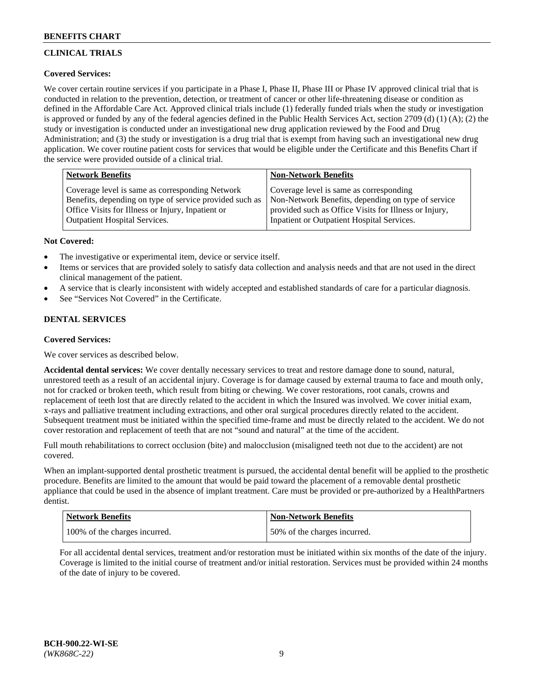# **CLINICAL TRIALS**

# **Covered Services:**

We cover certain routine services if you participate in a Phase I, Phase II, Phase III or Phase IV approved clinical trial that is conducted in relation to the prevention, detection, or treatment of cancer or other life-threatening disease or condition as defined in the Affordable Care Act. Approved clinical trials include (1) federally funded trials when the study or investigation is approved or funded by any of the federal agencies defined in the Public Health Services Act, section 2709 (d) (1) (A); (2) the study or investigation is conducted under an investigational new drug application reviewed by the Food and Drug Administration; and (3) the study or investigation is a drug trial that is exempt from having such an investigational new drug application. We cover routine patient costs for services that would be eligible under the Certificate and this Benefits Chart if the service were provided outside of a clinical trial.

| <b>Network Benefits</b>                                                                                                                                         | <b>Non-Network Benefits</b>                                                                                                                            |
|-----------------------------------------------------------------------------------------------------------------------------------------------------------------|--------------------------------------------------------------------------------------------------------------------------------------------------------|
| Coverage level is same as corresponding Network<br>Benefits, depending on type of service provided such as<br>Office Visits for Illness or Injury, Inpatient or | Coverage level is same as corresponding<br>Non-Network Benefits, depending on type of service<br>provided such as Office Visits for Illness or Injury, |
| <b>Outpatient Hospital Services.</b>                                                                                                                            | Inpatient or Outpatient Hospital Services.                                                                                                             |

# **Not Covered:**

- The investigative or experimental item, device or service itself.
- Items or services that are provided solely to satisfy data collection and analysis needs and that are not used in the direct clinical management of the patient.
- A service that is clearly inconsistent with widely accepted and established standards of care for a particular diagnosis.
- See "Services Not Covered" in the Certificate.

# **DENTAL SERVICES**

# **Covered Services:**

We cover services as described below.

**Accidental dental services:** We cover dentally necessary services to treat and restore damage done to sound, natural, unrestored teeth as a result of an accidental injury. Coverage is for damage caused by external trauma to face and mouth only, not for cracked or broken teeth, which result from biting or chewing. We cover restorations, root canals, crowns and replacement of teeth lost that are directly related to the accident in which the Insured was involved. We cover initial exam, x-rays and palliative treatment including extractions, and other oral surgical procedures directly related to the accident. Subsequent treatment must be initiated within the specified time-frame and must be directly related to the accident. We do not cover restoration and replacement of teeth that are not "sound and natural" at the time of the accident.

Full mouth rehabilitations to correct occlusion (bite) and malocclusion (misaligned teeth not due to the accident) are not covered.

When an implant-supported dental prosthetic treatment is pursued, the accidental dental benefit will be applied to the prosthetic procedure. Benefits are limited to the amount that would be paid toward the placement of a removable dental prosthetic appliance that could be used in the absence of implant treatment. Care must be provided or pre-authorized by a HealthPartners dentist.

| Network Benefits              | <b>Non-Network Benefits</b>  |
|-------------------------------|------------------------------|
| 100% of the charges incurred. | 50% of the charges incurred. |

For all accidental dental services, treatment and/or restoration must be initiated within six months of the date of the injury. Coverage is limited to the initial course of treatment and/or initial restoration. Services must be provided within 24 months of the date of injury to be covered.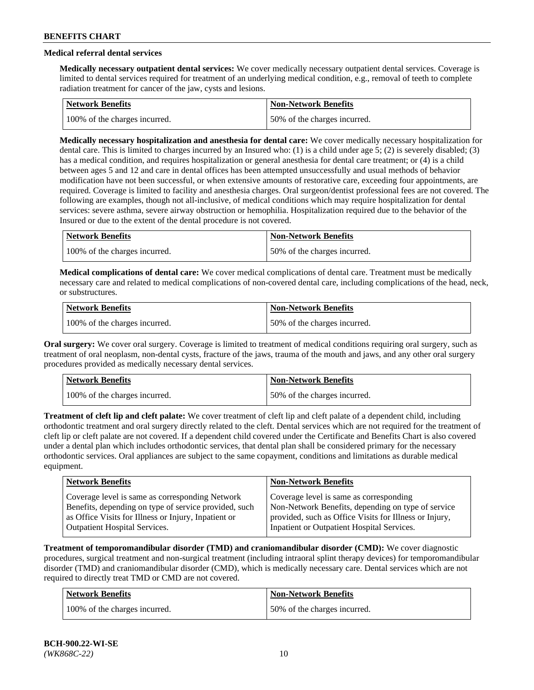# **Medical referral dental services**

**Medically necessary outpatient dental services:** We cover medically necessary outpatient dental services. Coverage is limited to dental services required for treatment of an underlying medical condition, e.g., removal of teeth to complete radiation treatment for cancer of the jaw, cysts and lesions.

| <b>Network Benefits</b>       | Non-Network Benefits         |
|-------------------------------|------------------------------|
| 100% of the charges incurred. | 50% of the charges incurred. |

**Medically necessary hospitalization and anesthesia for dental care:** We cover medically necessary hospitalization for dental care. This is limited to charges incurred by an Insured who: (1) is a child under age 5; (2) is severely disabled; (3) has a medical condition, and requires hospitalization or general anesthesia for dental care treatment; or (4) is a child between ages 5 and 12 and care in dental offices has been attempted unsuccessfully and usual methods of behavior modification have not been successful, or when extensive amounts of restorative care, exceeding four appointments, are required. Coverage is limited to facility and anesthesia charges. Oral surgeon/dentist professional fees are not covered. The following are examples, though not all-inclusive, of medical conditions which may require hospitalization for dental services: severe asthma, severe airway obstruction or hemophilia. Hospitalization required due to the behavior of the Insured or due to the extent of the dental procedure is not covered.

| Network Benefits              | <b>Non-Network Benefits</b>  |
|-------------------------------|------------------------------|
| 100% of the charges incurred. | 50% of the charges incurred. |

**Medical complications of dental care:** We cover medical complications of dental care. Treatment must be medically necessary care and related to medical complications of non-covered dental care, including complications of the head, neck, or substructures.

| Network Benefits              | <b>Non-Network Benefits</b>  |
|-------------------------------|------------------------------|
| 100% of the charges incurred. | 50% of the charges incurred. |

**Oral surgery:** We cover oral surgery. Coverage is limited to treatment of medical conditions requiring oral surgery, such as treatment of oral neoplasm, non-dental cysts, fracture of the jaws, trauma of the mouth and jaws, and any other oral surgery procedures provided as medically necessary dental services.

| Network Benefits              | <b>Non-Network Benefits</b>  |
|-------------------------------|------------------------------|
| 100% of the charges incurred. | 50% of the charges incurred. |

**Treatment of cleft lip and cleft palate:** We cover treatment of cleft lip and cleft palate of a dependent child, including orthodontic treatment and oral surgery directly related to the cleft. Dental services which are not required for the treatment of cleft lip or cleft palate are not covered. If a dependent child covered under the Certificate and Benefits Chart is also covered under a dental plan which includes orthodontic services, that dental plan shall be considered primary for the necessary orthodontic services. Oral appliances are subject to the same copayment, conditions and limitations as durable medical equipment.

| <b>Network Benefits</b>                               | <b>Non-Network Benefits</b>                            |
|-------------------------------------------------------|--------------------------------------------------------|
| Coverage level is same as corresponding Network       | Coverage level is same as corresponding                |
| Benefits, depending on type of service provided, such | Non-Network Benefits, depending on type of service     |
| as Office Visits for Illness or Injury, Inpatient or  | provided, such as Office Visits for Illness or Injury, |
| Outpatient Hospital Services.                         | Inpatient or Outpatient Hospital Services.             |

**Treatment of temporomandibular disorder (TMD) and craniomandibular disorder (CMD):** We cover diagnostic procedures, surgical treatment and non-surgical treatment (including intraoral splint therapy devices) for temporomandibular disorder (TMD) and craniomandibular disorder (CMD), which is medically necessary care. Dental services which are not required to directly treat TMD or CMD are not covered.

| <b>Network Benefits</b>       | <b>Non-Network Benefits</b>  |
|-------------------------------|------------------------------|
| 100% of the charges incurred. | 50% of the charges incurred. |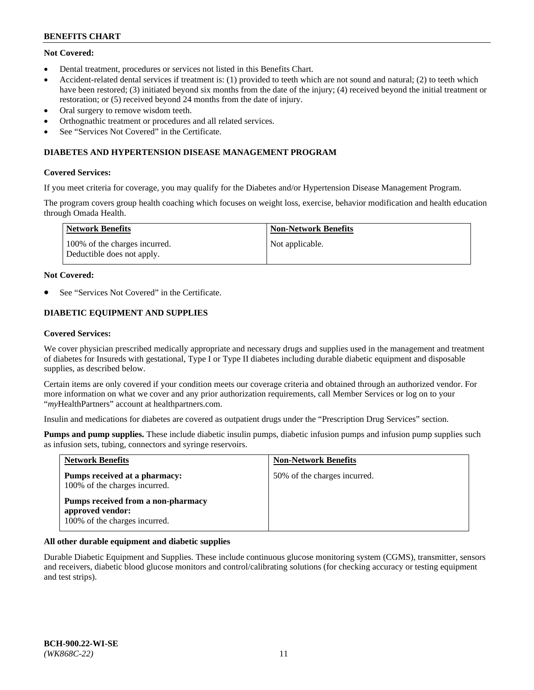# **Not Covered:**

- Dental treatment, procedures or services not listed in this Benefits Chart.
- Accident-related dental services if treatment is: (1) provided to teeth which are not sound and natural; (2) to teeth which have been restored; (3) initiated beyond six months from the date of the injury; (4) received beyond the initial treatment or restoration; or (5) received beyond 24 months from the date of injury.
- Oral surgery to remove wisdom teeth.
- Orthognathic treatment or procedures and all related services.
- See "Services Not Covered" in the Certificate.

## **DIABETES AND HYPERTENSION DISEASE MANAGEMENT PROGRAM**

### **Covered Services:**

If you meet criteria for coverage, you may qualify for the Diabetes and/or Hypertension Disease Management Program.

The program covers group health coaching which focuses on weight loss, exercise, behavior modification and health education through Omada Health.

| <b>Network Benefits</b>                                     | <b>Non-Network Benefits</b> |
|-------------------------------------------------------------|-----------------------------|
| 100% of the charges incurred.<br>Deductible does not apply. | Not applicable.             |

### **Not Covered:**

See "Services Not Covered" in the Certificate.

# **DIABETIC EQUIPMENT AND SUPPLIES**

### **Covered Services:**

We cover physician prescribed medically appropriate and necessary drugs and supplies used in the management and treatment of diabetes for Insureds with gestational, Type I or Type II diabetes including durable diabetic equipment and disposable supplies, as described below.

Certain items are only covered if your condition meets our coverage criteria and obtained through an authorized vendor. For more information on what we cover and any prior authorization requirements, call Member Services or log on to your "*my*HealthPartners" account at [healthpartners.com.](http://www.healthpartners.com/)

Insulin and medications for diabetes are covered as outpatient drugs under the "Prescription Drug Services" section.

**Pumps and pump supplies.** These include diabetic insulin pumps, diabetic infusion pumps and infusion pump supplies such as infusion sets, tubing, connectors and syringe reservoirs.

| <b>Network Benefits</b>                                                                 | <b>Non-Network Benefits</b>  |
|-----------------------------------------------------------------------------------------|------------------------------|
| <b>Pumps received at a pharmacy:</b><br>100% of the charges incurred.                   | 50% of the charges incurred. |
| Pumps received from a non-pharmacy<br>approved vendor:<br>100% of the charges incurred. |                              |

# **All other durable equipment and diabetic supplies**

Durable Diabetic Equipment and Supplies. These include continuous glucose monitoring system (CGMS), transmitter, sensors and receivers, diabetic blood glucose monitors and control/calibrating solutions (for checking accuracy or testing equipment and test strips).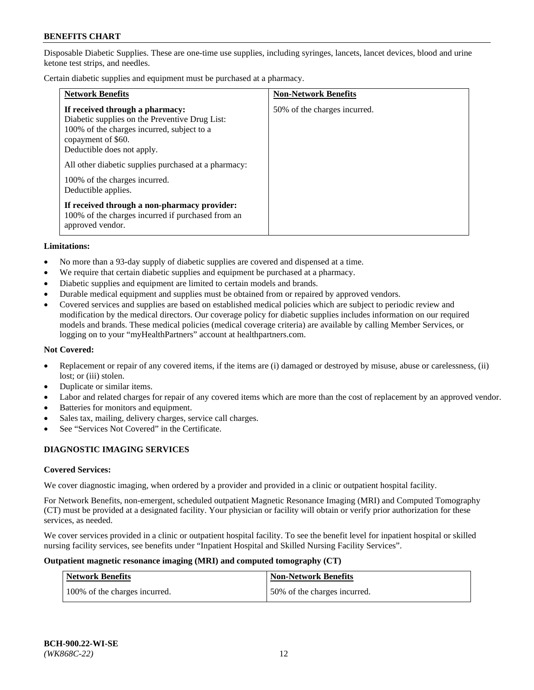Disposable Diabetic Supplies. These are one-time use supplies, including syringes, lancets, lancet devices, blood and urine ketone test strips, and needles.

Certain diabetic supplies and equipment must be purchased at a pharmacy.

| <b>Network Benefits</b>                                                                                                                                                                                                                                                                             | <b>Non-Network Benefits</b>  |
|-----------------------------------------------------------------------------------------------------------------------------------------------------------------------------------------------------------------------------------------------------------------------------------------------------|------------------------------|
| If received through a pharmacy:<br>Diabetic supplies on the Preventive Drug List:<br>100% of the charges incurred, subject to a<br>copayment of \$60.<br>Deductible does not apply.<br>All other diabetic supplies purchased at a pharmacy:<br>100% of the charges incurred.<br>Deductible applies. | 50% of the charges incurred. |
| If received through a non-pharmacy provider:<br>100% of the charges incurred if purchased from an<br>approved vendor.                                                                                                                                                                               |                              |

#### **Limitations:**

- No more than a 93-day supply of diabetic supplies are covered and dispensed at a time.
- We require that certain diabetic supplies and equipment be purchased at a pharmacy.
- Diabetic supplies and equipment are limited to certain models and brands.
- Durable medical equipment and supplies must be obtained from or repaired by approved vendors.
- Covered services and supplies are based on established medical policies which are subject to periodic review and modification by the medical directors. Our coverage policy for diabetic supplies includes information on our required models and brands. These medical policies (medical coverage criteria) are available by calling Member Services, or logging on to your "myHealthPartners" account at [healthpartners.com.](http://www.healthpartners.com/)

## **Not Covered:**

- Replacement or repair of any covered items, if the items are (i) damaged or destroyed by misuse, abuse or carelessness, (ii) lost; or (iii) stolen.
- Duplicate or similar items.
- Labor and related charges for repair of any covered items which are more than the cost of replacement by an approved vendor.
- Batteries for monitors and equipment.
- Sales tax, mailing, delivery charges, service call charges.
- See "Services Not Covered" in the Certificate.

# **DIAGNOSTIC IMAGING SERVICES**

#### **Covered Services:**

We cover diagnostic imaging, when ordered by a provider and provided in a clinic or outpatient hospital facility.

For Network Benefits, non-emergent, scheduled outpatient Magnetic Resonance Imaging (MRI) and Computed Tomography (CT) must be provided at a designated facility. Your physician or facility will obtain or verify prior authorization for these services, as needed.

We cover services provided in a clinic or outpatient hospital facility. To see the benefit level for inpatient hospital or skilled nursing facility services, see benefits under "Inpatient Hospital and Skilled Nursing Facility Services".

#### **Outpatient magnetic resonance imaging (MRI) and computed tomography (CT)**

| <b>Network Benefits</b>       | <b>Non-Network Benefits</b>  |
|-------------------------------|------------------------------|
| 100% of the charges incurred. | 50% of the charges incurred. |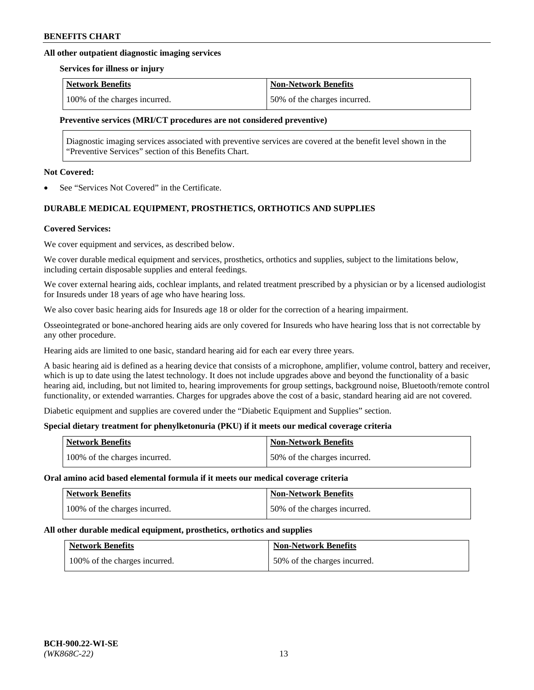# **All other outpatient diagnostic imaging services**

#### **Services for illness or injury**

| <b>Network Benefits</b>       | <b>Non-Network Benefits</b>  |
|-------------------------------|------------------------------|
| 100% of the charges incurred. | 50% of the charges incurred. |

# **Preventive services (MRI/CT procedures are not considered preventive)**

Diagnostic imaging services associated with preventive services are covered at the benefit level shown in the "Preventive Services" section of this Benefits Chart.

#### **Not Covered:**

See "Services Not Covered" in the Certificate.

# **DURABLE MEDICAL EQUIPMENT, PROSTHETICS, ORTHOTICS AND SUPPLIES**

### **Covered Services:**

We cover equipment and services, as described below.

We cover durable medical equipment and services, prosthetics, orthotics and supplies, subject to the limitations below, including certain disposable supplies and enteral feedings.

We cover external hearing aids, cochlear implants, and related treatment prescribed by a physician or by a licensed audiologist for Insureds under 18 years of age who have hearing loss.

We also cover basic hearing aids for Insureds age 18 or older for the correction of a hearing impairment.

Osseointegrated or bone-anchored hearing aids are only covered for Insureds who have hearing loss that is not correctable by any other procedure.

Hearing aids are limited to one basic, standard hearing aid for each ear every three years.

A basic hearing aid is defined as a hearing device that consists of a microphone, amplifier, volume control, battery and receiver, which is up to date using the latest technology. It does not include upgrades above and beyond the functionality of a basic hearing aid, including, but not limited to, hearing improvements for group settings, background noise, Bluetooth/remote control functionality, or extended warranties. Charges for upgrades above the cost of a basic, standard hearing aid are not covered.

Diabetic equipment and supplies are covered under the "Diabetic Equipment and Supplies" section.

# **Special dietary treatment for phenylketonuria (PKU) if it meets our medical coverage criteria**

| <b>Network Benefits</b>       | <b>Non-Network Benefits</b>  |
|-------------------------------|------------------------------|
| 100% of the charges incurred. | 50% of the charges incurred. |

#### **Oral amino acid based elemental formula if it meets our medical coverage criteria**

| <b>Network Benefits</b>       | <b>Non-Network Benefits</b>  |
|-------------------------------|------------------------------|
| 100% of the charges incurred. | 50% of the charges incurred. |

#### **All other durable medical equipment, prosthetics, orthotics and supplies**

| <b>Network Benefits</b>       | <b>Non-Network Benefits</b>  |
|-------------------------------|------------------------------|
| 100% of the charges incurred. | 50% of the charges incurred. |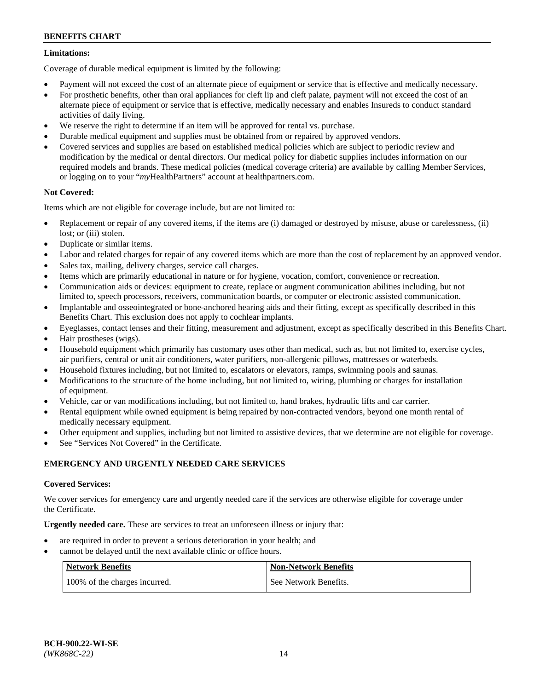# **Limitations:**

Coverage of durable medical equipment is limited by the following:

- Payment will not exceed the cost of an alternate piece of equipment or service that is effective and medically necessary.
- For prosthetic benefits, other than oral appliances for cleft lip and cleft palate, payment will not exceed the cost of an alternate piece of equipment or service that is effective, medically necessary and enables Insureds to conduct standard activities of daily living.
- We reserve the right to determine if an item will be approved for rental vs. purchase.
- Durable medical equipment and supplies must be obtained from or repaired by approved vendors.
- Covered services and supplies are based on established medical policies which are subject to periodic review and modification by the medical or dental directors. Our medical policy for diabetic supplies includes information on our required models and brands. These medical policies (medical coverage criteria) are available by calling Member Services, or logging on to your "*my*HealthPartners" account a[t healthpartners.com.](http://www.healthpartners.com/)

# **Not Covered:**

Items which are not eligible for coverage include, but are not limited to:

- Replacement or repair of any covered items, if the items are (i) damaged or destroyed by misuse, abuse or carelessness, (ii) lost; or (iii) stolen.
- Duplicate or similar items.
- Labor and related charges for repair of any covered items which are more than the cost of replacement by an approved vendor.
- Sales tax, mailing, delivery charges, service call charges.
- Items which are primarily educational in nature or for hygiene, vocation, comfort, convenience or recreation.
- Communication aids or devices: equipment to create, replace or augment communication abilities including, but not limited to, speech processors, receivers, communication boards, or computer or electronic assisted communication.
- Implantable and osseointegrated or bone-anchored hearing aids and their fitting, except as specifically described in this Benefits Chart. This exclusion does not apply to cochlear implants.
- Eyeglasses, contact lenses and their fitting, measurement and adjustment, except as specifically described in this Benefits Chart.
- Hair prostheses (wigs).
- Household equipment which primarily has customary uses other than medical, such as, but not limited to, exercise cycles, air purifiers, central or unit air conditioners, water purifiers, non-allergenic pillows, mattresses or waterbeds.
- Household fixtures including, but not limited to, escalators or elevators, ramps, swimming pools and saunas.
- Modifications to the structure of the home including, but not limited to, wiring, plumbing or charges for installation of equipment.
- Vehicle, car or van modifications including, but not limited to, hand brakes, hydraulic lifts and car carrier.
- Rental equipment while owned equipment is being repaired by non-contracted vendors, beyond one month rental of medically necessary equipment.
- Other equipment and supplies, including but not limited to assistive devices, that we determine are not eligible for coverage.
- See "Services Not Covered" in the Certificate.

# **EMERGENCY AND URGENTLY NEEDED CARE SERVICES**

# **Covered Services:**

We cover services for emergency care and urgently needed care if the services are otherwise eligible for coverage under the Certificate.

**Urgently needed care.** These are services to treat an unforeseen illness or injury that:

- are required in order to prevent a serious deterioration in your health; and
- cannot be delayed until the next available clinic or office hours.

| <b>Network Benefits</b>       | <b>Non-Network Benefits</b> |
|-------------------------------|-----------------------------|
| 100% of the charges incurred. | See Network Benefits.       |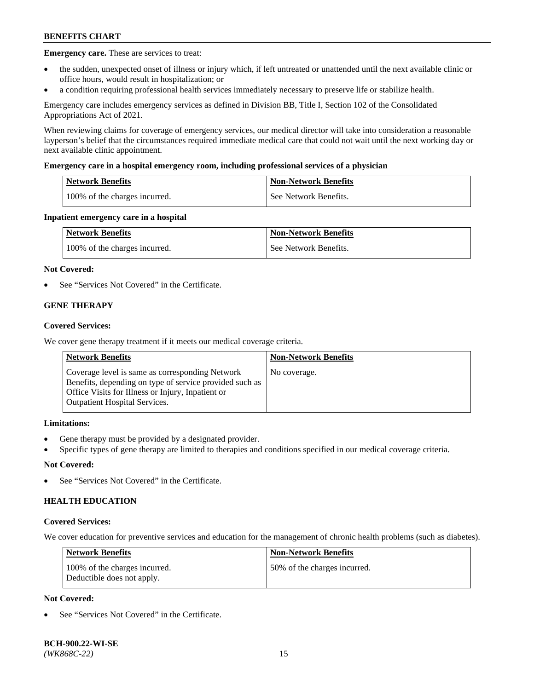**Emergency care.** These are services to treat:

- the sudden, unexpected onset of illness or injury which, if left untreated or unattended until the next available clinic or office hours, would result in hospitalization; or
- a condition requiring professional health services immediately necessary to preserve life or stabilize health.

Emergency care includes emergency services as defined in Division BB, Title I, Section 102 of the Consolidated Appropriations Act of 2021.

When reviewing claims for coverage of emergency services, our medical director will take into consideration a reasonable layperson's belief that the circumstances required immediate medical care that could not wait until the next working day or next available clinic appointment.

### **Emergency care in a hospital emergency room, including professional services of a physician**

| <b>Network Benefits</b>       | <b>Non-Network Benefits</b> |
|-------------------------------|-----------------------------|
| 100% of the charges incurred. | See Network Benefits.       |

### **Inpatient emergency care in a hospital**

| <b>Network Benefits</b>       | <b>Non-Network Benefits</b> |
|-------------------------------|-----------------------------|
| 100% of the charges incurred. | See Network Benefits.       |

### **Not Covered:**

See "Services Not Covered" in the Certificate.

# **GENE THERAPY**

### **Covered Services:**

We cover gene therapy treatment if it meets our medical coverage criteria.

| <b>Network Benefits</b>                                                                                                                                                                                 | <b>Non-Network Benefits</b> |
|---------------------------------------------------------------------------------------------------------------------------------------------------------------------------------------------------------|-----------------------------|
| Coverage level is same as corresponding Network<br>Benefits, depending on type of service provided such as<br>Office Visits for Illness or Injury, Inpatient or<br><b>Outpatient Hospital Services.</b> | No coverage.                |

# **Limitations:**

- Gene therapy must be provided by a designated provider.
- Specific types of gene therapy are limited to therapies and conditions specified in our medical coverage criteria.

# **Not Covered:**

See "Services Not Covered" in the Certificate.

# **HEALTH EDUCATION**

#### **Covered Services:**

We cover education for preventive services and education for the management of chronic health problems (such as diabetes).

| <b>Network Benefits</b>                                     | <b>Non-Network Benefits</b>  |
|-------------------------------------------------------------|------------------------------|
| 100% of the charges incurred.<br>Deductible does not apply. | 50% of the charges incurred. |

# **Not Covered:**

See "Services Not Covered" in the Certificate.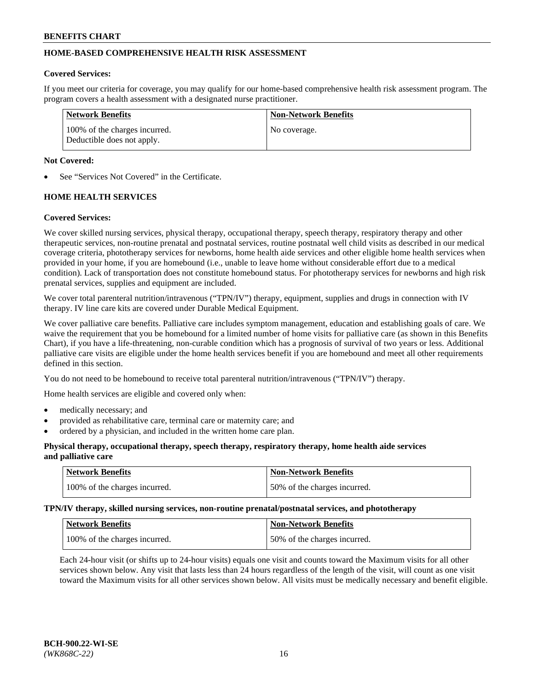# **HOME-BASED COMPREHENSIVE HEALTH RISK ASSESSMENT**

### **Covered Services:**

If you meet our criteria for coverage, you may qualify for our home-based comprehensive health risk assessment program. The program covers a health assessment with a designated nurse practitioner.

| Network Benefits                                            | <b>Non-Network Benefits</b> |
|-------------------------------------------------------------|-----------------------------|
| 100% of the charges incurred.<br>Deductible does not apply. | No coverage.                |

### **Not Covered:**

See "Services Not Covered" in the Certificate.

# **HOME HEALTH SERVICES**

### **Covered Services:**

We cover skilled nursing services, physical therapy, occupational therapy, speech therapy, respiratory therapy and other therapeutic services, non-routine prenatal and postnatal services, routine postnatal well child visits as described in our medical coverage criteria, phototherapy services for newborns, home health aide services and other eligible home health services when provided in your home, if you are homebound (i.e., unable to leave home without considerable effort due to a medical condition). Lack of transportation does not constitute homebound status. For phototherapy services for newborns and high risk prenatal services, supplies and equipment are included.

We cover total parenteral nutrition/intravenous ("TPN/IV") therapy, equipment, supplies and drugs in connection with IV therapy. IV line care kits are covered under Durable Medical Equipment.

We cover palliative care benefits. Palliative care includes symptom management, education and establishing goals of care. We waive the requirement that you be homebound for a limited number of home visits for palliative care (as shown in this Benefits Chart), if you have a life-threatening, non-curable condition which has a prognosis of survival of two years or less. Additional palliative care visits are eligible under the home health services benefit if you are homebound and meet all other requirements defined in this section.

You do not need to be homebound to receive total parenteral nutrition/intravenous ("TPN/IV") therapy.

Home health services are eligible and covered only when:

- medically necessary; and
- provided as rehabilitative care, terminal care or maternity care; and
- ordered by a physician, and included in the written home care plan.

## **Physical therapy, occupational therapy, speech therapy, respiratory therapy, home health aide services and palliative care**

| Network Benefits              | <b>Non-Network Benefits</b>  |
|-------------------------------|------------------------------|
| 100% of the charges incurred. | 50% of the charges incurred. |

**TPN/IV therapy, skilled nursing services, non-routine prenatal/postnatal services, and phototherapy**

| <b>Network Benefits</b>       | Non-Network Benefits         |
|-------------------------------|------------------------------|
| 100% of the charges incurred. | 50% of the charges incurred. |

Each 24-hour visit (or shifts up to 24-hour visits) equals one visit and counts toward the Maximum visits for all other services shown below. Any visit that lasts less than 24 hours regardless of the length of the visit, will count as one visit toward the Maximum visits for all other services shown below. All visits must be medically necessary and benefit eligible.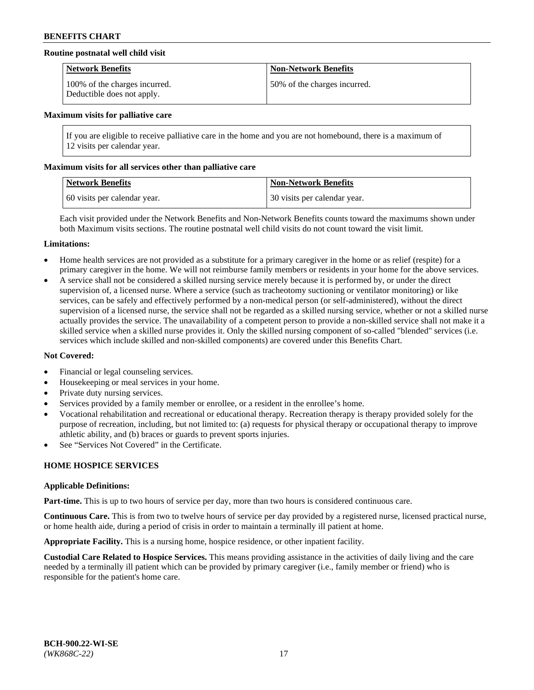# **Routine postnatal well child visit**

| <b>Network Benefits</b>                                     | <b>Non-Network Benefits</b>  |
|-------------------------------------------------------------|------------------------------|
| 100% of the charges incurred.<br>Deductible does not apply. | 50% of the charges incurred. |

#### **Maximum visits for palliative care**

If you are eligible to receive palliative care in the home and you are not homebound, there is a maximum of 12 visits per calendar year.

### **Maximum visits for all services other than palliative care**

| Network Benefits             | <b>Non-Network Benefits</b>  |
|------------------------------|------------------------------|
| 60 visits per calendar year. | 30 visits per calendar year. |

Each visit provided under the Network Benefits and Non-Network Benefits counts toward the maximums shown under both Maximum visits sections. The routine postnatal well child visits do not count toward the visit limit.

#### **Limitations:**

- Home health services are not provided as a substitute for a primary caregiver in the home or as relief (respite) for a primary caregiver in the home. We will not reimburse family members or residents in your home for the above services.
- A service shall not be considered a skilled nursing service merely because it is performed by, or under the direct supervision of, a licensed nurse. Where a service (such as tracheotomy suctioning or ventilator monitoring) or like services, can be safely and effectively performed by a non-medical person (or self-administered), without the direct supervision of a licensed nurse, the service shall not be regarded as a skilled nursing service, whether or not a skilled nurse actually provides the service. The unavailability of a competent person to provide a non-skilled service shall not make it a skilled service when a skilled nurse provides it. Only the skilled nursing component of so-called "blended" services (i.e. services which include skilled and non-skilled components) are covered under this Benefits Chart.

## **Not Covered:**

- Financial or legal counseling services.
- Housekeeping or meal services in your home.
- Private duty nursing services.
- Services provided by a family member or enrollee, or a resident in the enrollee's home.
- Vocational rehabilitation and recreational or educational therapy. Recreation therapy is therapy provided solely for the purpose of recreation, including, but not limited to: (a) requests for physical therapy or occupational therapy to improve athletic ability, and (b) braces or guards to prevent sports injuries.
- See "Services Not Covered" in the Certificate.

# **HOME HOSPICE SERVICES**

#### **Applicable Definitions:**

**Part-time.** This is up to two hours of service per day, more than two hours is considered continuous care.

**Continuous Care.** This is from two to twelve hours of service per day provided by a registered nurse, licensed practical nurse, or home health aide, during a period of crisis in order to maintain a terminally ill patient at home.

**Appropriate Facility.** This is a nursing home, hospice residence, or other inpatient facility.

**Custodial Care Related to Hospice Services.** This means providing assistance in the activities of daily living and the care needed by a terminally ill patient which can be provided by primary caregiver (i.e., family member or friend) who is responsible for the patient's home care.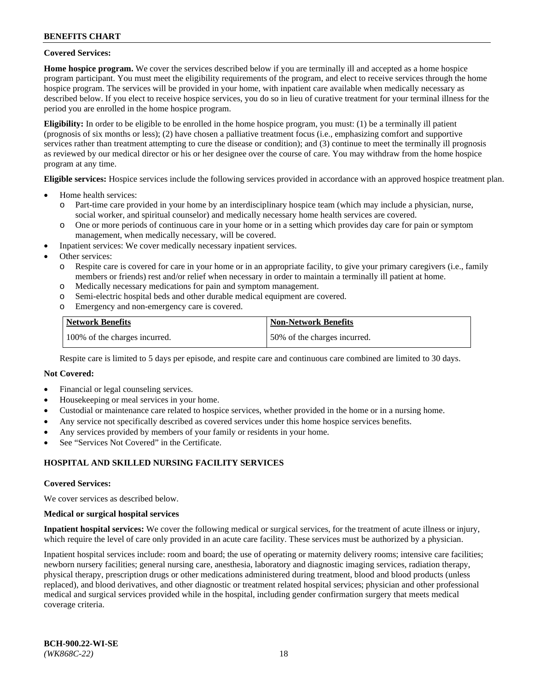## **Covered Services:**

**Home hospice program.** We cover the services described below if you are terminally ill and accepted as a home hospice program participant. You must meet the eligibility requirements of the program, and elect to receive services through the home hospice program. The services will be provided in your home, with inpatient care available when medically necessary as described below. If you elect to receive hospice services, you do so in lieu of curative treatment for your terminal illness for the period you are enrolled in the home hospice program.

**Eligibility:** In order to be eligible to be enrolled in the home hospice program, you must: (1) be a terminally ill patient (prognosis of six months or less); (2) have chosen a palliative treatment focus (i.e., emphasizing comfort and supportive services rather than treatment attempting to cure the disease or condition); and (3) continue to meet the terminally ill prognosis as reviewed by our medical director or his or her designee over the course of care. You may withdraw from the home hospice program at any time.

**Eligible services:** Hospice services include the following services provided in accordance with an approved hospice treatment plan.

- Home health services:
	- o Part-time care provided in your home by an interdisciplinary hospice team (which may include a physician, nurse, social worker, and spiritual counselor) and medically necessary home health services are covered.
	- o One or more periods of continuous care in your home or in a setting which provides day care for pain or symptom management, when medically necessary, will be covered.
- Inpatient services: We cover medically necessary inpatient services.
- Other services:
	- o Respite care is covered for care in your home or in an appropriate facility, to give your primary caregivers (i.e., family members or friends) rest and/or relief when necessary in order to maintain a terminally ill patient at home.
	- o Medically necessary medications for pain and symptom management.
	- o Semi-electric hospital beds and other durable medical equipment are covered.
	- Emergency and non-emergency care is covered.

| Network Benefits              | <b>Non-Network Benefits</b>  |
|-------------------------------|------------------------------|
| 100% of the charges incurred. | 50% of the charges incurred. |

Respite care is limited to 5 days per episode, and respite care and continuous care combined are limited to 30 days.

# **Not Covered:**

- Financial or legal counseling services.
- Housekeeping or meal services in your home.
- Custodial or maintenance care related to hospice services, whether provided in the home or in a nursing home.
- Any service not specifically described as covered services under this home hospice services benefits.
- Any services provided by members of your family or residents in your home.
- See "Services Not Covered" in the Certificate.

# **HOSPITAL AND SKILLED NURSING FACILITY SERVICES**

#### **Covered Services:**

We cover services as described below.

#### **Medical or surgical hospital services**

**Inpatient hospital services:** We cover the following medical or surgical services, for the treatment of acute illness or injury, which require the level of care only provided in an acute care facility. These services must be authorized by a physician.

Inpatient hospital services include: room and board; the use of operating or maternity delivery rooms; intensive care facilities; newborn nursery facilities; general nursing care, anesthesia, laboratory and diagnostic imaging services, radiation therapy, physical therapy, prescription drugs or other medications administered during treatment, blood and blood products (unless replaced), and blood derivatives, and other diagnostic or treatment related hospital services; physician and other professional medical and surgical services provided while in the hospital, including gender confirmation surgery that meets medical coverage criteria.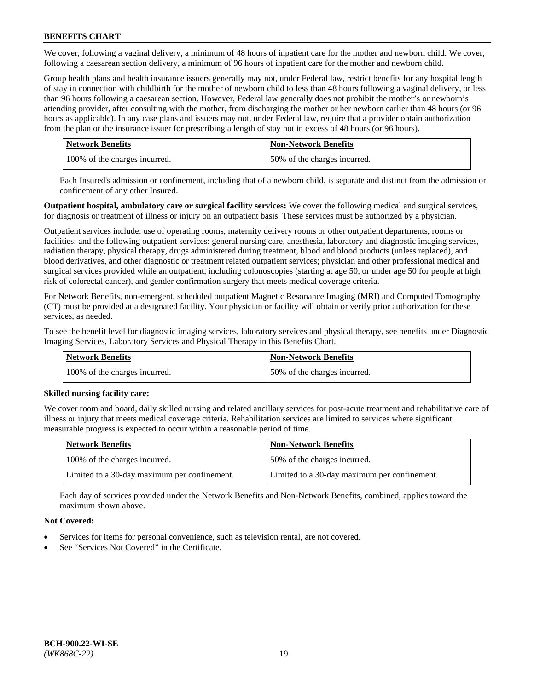We cover, following a vaginal delivery, a minimum of 48 hours of inpatient care for the mother and newborn child. We cover, following a caesarean section delivery, a minimum of 96 hours of inpatient care for the mother and newborn child.

Group health plans and health insurance issuers generally may not, under Federal law, restrict benefits for any hospital length of stay in connection with childbirth for the mother of newborn child to less than 48 hours following a vaginal delivery, or less than 96 hours following a caesarean section. However, Federal law generally does not prohibit the mother's or newborn's attending provider, after consulting with the mother, from discharging the mother or her newborn earlier than 48 hours (or 96 hours as applicable). In any case plans and issuers may not, under Federal law, require that a provider obtain authorization from the plan or the insurance issuer for prescribing a length of stay not in excess of 48 hours (or 96 hours).

| <b>Network Benefits</b>       | <b>Non-Network Benefits</b>  |
|-------------------------------|------------------------------|
| 100% of the charges incurred. | 50% of the charges incurred. |

Each Insured's admission or confinement, including that of a newborn child, is separate and distinct from the admission or confinement of any other Insured.

**Outpatient hospital, ambulatory care or surgical facility services:** We cover the following medical and surgical services, for diagnosis or treatment of illness or injury on an outpatient basis. These services must be authorized by a physician.

Outpatient services include: use of operating rooms, maternity delivery rooms or other outpatient departments, rooms or facilities; and the following outpatient services: general nursing care, anesthesia, laboratory and diagnostic imaging services, radiation therapy, physical therapy, drugs administered during treatment, blood and blood products (unless replaced), and blood derivatives, and other diagnostic or treatment related outpatient services; physician and other professional medical and surgical services provided while an outpatient, including colonoscopies (starting at age 50, or under age 50 for people at high risk of colorectal cancer), and gender confirmation surgery that meets medical coverage criteria.

For Network Benefits, non-emergent, scheduled outpatient Magnetic Resonance Imaging (MRI) and Computed Tomography (CT) must be provided at a designated facility. Your physician or facility will obtain or verify prior authorization for these services, as needed.

To see the benefit level for diagnostic imaging services, laboratory services and physical therapy, see benefits under Diagnostic Imaging Services, Laboratory Services and Physical Therapy in this Benefits Chart.

| <b>Network Benefits</b>       | <b>Non-Network Benefits</b>  |
|-------------------------------|------------------------------|
| 100% of the charges incurred. | 50% of the charges incurred. |

# **Skilled nursing facility care:**

We cover room and board, daily skilled nursing and related ancillary services for post-acute treatment and rehabilitative care of illness or injury that meets medical coverage criteria. Rehabilitation services are limited to services where significant measurable progress is expected to occur within a reasonable period of time.

| Network Benefits                             | <b>Non-Network Benefits</b>                  |
|----------------------------------------------|----------------------------------------------|
| 100% of the charges incurred.                | 50% of the charges incurred.                 |
| Limited to a 30-day maximum per confinement. | Limited to a 30-day maximum per confinement. |

Each day of services provided under the Network Benefits and Non-Network Benefits, combined, applies toward the maximum shown above.

# **Not Covered:**

- Services for items for personal convenience, such as television rental, are not covered.
- See "Services Not Covered" in the Certificate.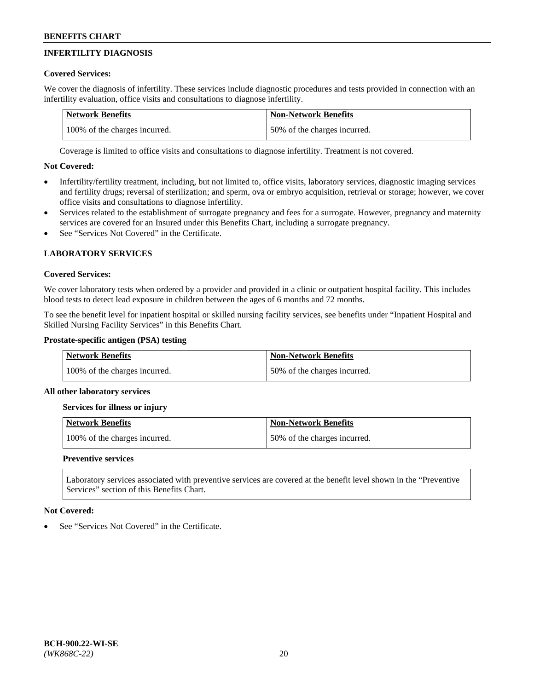# **INFERTILITY DIAGNOSIS**

# **Covered Services:**

We cover the diagnosis of infertility. These services include diagnostic procedures and tests provided in connection with an infertility evaluation, office visits and consultations to diagnose infertility.

| <b>Network Benefits</b>       | <b>Non-Network Benefits</b>  |
|-------------------------------|------------------------------|
| 100% of the charges incurred. | 50% of the charges incurred. |

Coverage is limited to office visits and consultations to diagnose infertility. Treatment is not covered.

# **Not Covered:**

- Infertility/fertility treatment, including, but not limited to, office visits, laboratory services, diagnostic imaging services and fertility drugs; reversal of sterilization; and sperm, ova or embryo acquisition, retrieval or storage; however, we cover office visits and consultations to diagnose infertility.
- Services related to the establishment of surrogate pregnancy and fees for a surrogate. However, pregnancy and maternity services are covered for an Insured under this Benefits Chart, including a surrogate pregnancy.
- See "Services Not Covered" in the Certificate.

# **LABORATORY SERVICES**

# **Covered Services:**

We cover laboratory tests when ordered by a provider and provided in a clinic or outpatient hospital facility. This includes blood tests to detect lead exposure in children between the ages of 6 months and 72 months.

To see the benefit level for inpatient hospital or skilled nursing facility services, see benefits under "Inpatient Hospital and Skilled Nursing Facility Services" in this Benefits Chart.

# **Prostate-specific antigen (PSA) testing**

| <b>Network Benefits</b>       | <b>Non-Network Benefits</b>  |
|-------------------------------|------------------------------|
| 100% of the charges incurred. | 50% of the charges incurred. |

# **All other laboratory services**

**Services for illness or injury**

| <b>Network Benefits</b>       | <b>Non-Network Benefits</b>  |
|-------------------------------|------------------------------|
| 100% of the charges incurred. | 50% of the charges incurred. |

# **Preventive services**

Laboratory services associated with preventive services are covered at the benefit level shown in the "Preventive Services" section of this Benefits Chart.

# **Not Covered:**

See "Services Not Covered" in the Certificate.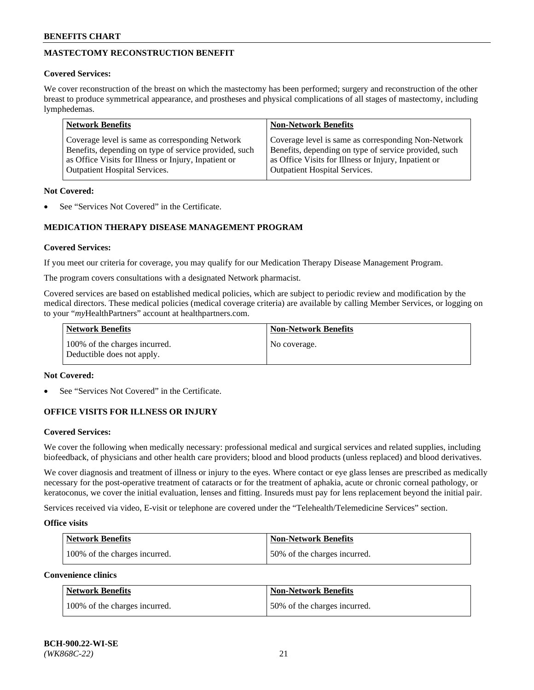# **MASTECTOMY RECONSTRUCTION BENEFIT**

# **Covered Services:**

We cover reconstruction of the breast on which the mastectomy has been performed; surgery and reconstruction of the other breast to produce symmetrical appearance, and prostheses and physical complications of all stages of mastectomy, including lymphedemas.

| <b>Network Benefits</b>                               | <b>Non-Network Benefits</b>                           |
|-------------------------------------------------------|-------------------------------------------------------|
| Coverage level is same as corresponding Network       | Coverage level is same as corresponding Non-Network   |
| Benefits, depending on type of service provided, such | Benefits, depending on type of service provided, such |
| as Office Visits for Illness or Injury, Inpatient or  | as Office Visits for Illness or Injury, Inpatient or  |
| <b>Outpatient Hospital Services.</b>                  | <b>Outpatient Hospital Services.</b>                  |

### **Not Covered:**

See "Services Not Covered" in the Certificate.

# **MEDICATION THERAPY DISEASE MANAGEMENT PROGRAM**

### **Covered Services:**

If you meet our criteria for coverage, you may qualify for our Medication Therapy Disease Management Program.

The program covers consultations with a designated Network pharmacist.

Covered services are based on established medical policies, which are subject to periodic review and modification by the medical directors. These medical policies (medical coverage criteria) are available by calling Member Services, or logging on to your "*my*HealthPartners" account at [healthpartners.com.](http://www.healthpartners.com/)

| Network Benefits                                            | <b>Non-Network Benefits</b> |
|-------------------------------------------------------------|-----------------------------|
| 100% of the charges incurred.<br>Deductible does not apply. | No coverage.                |

## **Not Covered:**

See "Services Not Covered" in the Certificate.

# **OFFICE VISITS FOR ILLNESS OR INJURY**

#### **Covered Services:**

We cover the following when medically necessary: professional medical and surgical services and related supplies, including biofeedback, of physicians and other health care providers; blood and blood products (unless replaced) and blood derivatives.

We cover diagnosis and treatment of illness or injury to the eyes. Where contact or eye glass lenses are prescribed as medically necessary for the post-operative treatment of cataracts or for the treatment of aphakia, acute or chronic corneal pathology, or keratoconus, we cover the initial evaluation, lenses and fitting. Insureds must pay for lens replacement beyond the initial pair.

Services received via video, E-visit or telephone are covered under the "Telehealth/Telemedicine Services" section.

#### **Office visits**

| <b>Network Benefits</b>       | <b>Non-Network Benefits</b>  |
|-------------------------------|------------------------------|
| 100% of the charges incurred. | 50% of the charges incurred. |

**Convenience clinics**

| <b>Network Benefits</b>       | <b>Non-Network Benefits</b>   |
|-------------------------------|-------------------------------|
| 100% of the charges incurred. | 150% of the charges incurred. |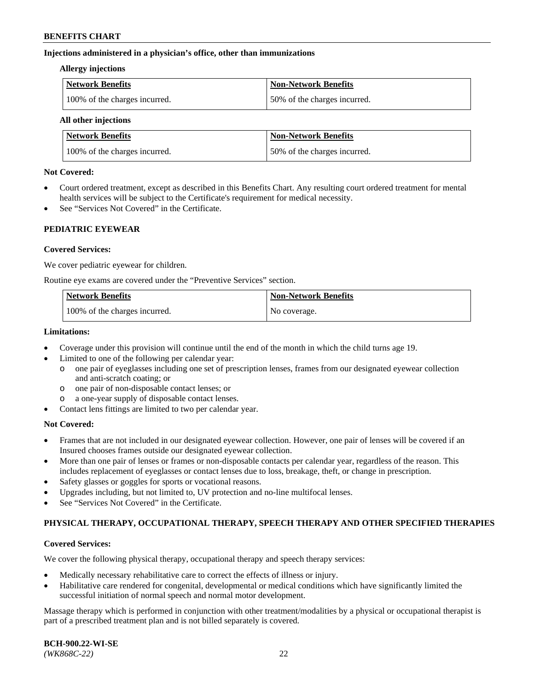## **Injections administered in a physician's office, other than immunizations**

#### **Allergy injections**

| Network Benefits              | Non-Network Benefits         |
|-------------------------------|------------------------------|
| 100% of the charges incurred. | 50% of the charges incurred. |

#### **All other injections**

| <b>Network Benefits</b>       | <b>Non-Network Benefits</b>  |
|-------------------------------|------------------------------|
| 100% of the charges incurred. | 50% of the charges incurred. |

## **Not Covered:**

- Court ordered treatment, except as described in this Benefits Chart. Any resulting court ordered treatment for mental health services will be subject to the Certificate's requirement for medical necessity.
- See "Services Not Covered" in the Certificate.

# **PEDIATRIC EYEWEAR**

# **Covered Services:**

We cover pediatric eyewear for children.

Routine eye exams are covered under the "Preventive Services" section.

| <b>Network Benefits</b>       | <b>Non-Network Benefits</b> |
|-------------------------------|-----------------------------|
| 100% of the charges incurred. | No coverage.                |

## **Limitations:**

- Coverage under this provision will continue until the end of the month in which the child turns age 19.
- Limited to one of the following per calendar year:
	- o one pair of eyeglasses including one set of prescription lenses, frames from our designated eyewear collection and anti-scratch coating; or
	- o one pair of non-disposable contact lenses; or
	- o a one-year supply of disposable contact lenses.
- Contact lens fittings are limited to two per calendar year.

# **Not Covered:**

- Frames that are not included in our designated eyewear collection. However, one pair of lenses will be covered if an Insured chooses frames outside our designated eyewear collection.
- More than one pair of lenses or frames or non-disposable contacts per calendar year, regardless of the reason. This includes replacement of eyeglasses or contact lenses due to loss, breakage, theft, or change in prescription.
- Safety glasses or goggles for sports or vocational reasons.
- Upgrades including, but not limited to, UV protection and no-line multifocal lenses.
- See "Services Not Covered" in the Certificate.

# **PHYSICAL THERAPY, OCCUPATIONAL THERAPY, SPEECH THERAPY AND OTHER SPECIFIED THERAPIES**

# **Covered Services:**

We cover the following physical therapy, occupational therapy and speech therapy services:

- Medically necessary rehabilitative care to correct the effects of illness or injury.
- Habilitative care rendered for congenital, developmental or medical conditions which have significantly limited the successful initiation of normal speech and normal motor development.

Massage therapy which is performed in conjunction with other treatment/modalities by a physical or occupational therapist is part of a prescribed treatment plan and is not billed separately is covered.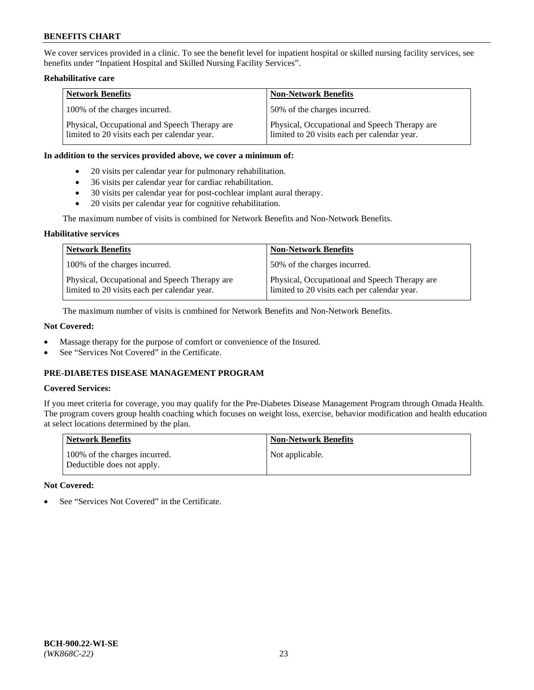We cover services provided in a clinic. To see the benefit level for inpatient hospital or skilled nursing facility services, see benefits under "Inpatient Hospital and Skilled Nursing Facility Services".

# **Rehabilitative care**

| <b>Network Benefits</b>                                                                       | <b>Non-Network Benefits</b>                                                                   |
|-----------------------------------------------------------------------------------------------|-----------------------------------------------------------------------------------------------|
| 100% of the charges incurred.                                                                 | 50% of the charges incurred.                                                                  |
| Physical, Occupational and Speech Therapy are<br>limited to 20 visits each per calendar year. | Physical, Occupational and Speech Therapy are<br>limited to 20 visits each per calendar year. |

### **In addition to the services provided above, we cover a minimum of:**

- 20 visits per calendar year for pulmonary rehabilitation.
- 36 visits per calendar year for cardiac rehabilitation.
- 30 visits per calendar year for post-cochlear implant aural therapy.
- 20 visits per calendar year for cognitive rehabilitation.

The maximum number of visits is combined for Network Benefits and Non-Network Benefits.

# **Habilitative services**

| <b>Network Benefits</b>                                                                       | <b>Non-Network Benefits</b>                                                                   |
|-----------------------------------------------------------------------------------------------|-----------------------------------------------------------------------------------------------|
| 100% of the charges incurred.                                                                 | 50% of the charges incurred.                                                                  |
| Physical, Occupational and Speech Therapy are<br>limited to 20 visits each per calendar year. | Physical, Occupational and Speech Therapy are<br>limited to 20 visits each per calendar year. |

The maximum number of visits is combined for Network Benefits and Non-Network Benefits.

# **Not Covered:**

- Massage therapy for the purpose of comfort or convenience of the Insured.
- See "Services Not Covered" in the Certificate.

# **PRE-DIABETES DISEASE MANAGEMENT PROGRAM**

# **Covered Services:**

If you meet criteria for coverage, you may qualify for the Pre-Diabetes Disease Management Program through Omada Health. The program covers group health coaching which focuses on weight loss, exercise, behavior modification and health education at select locations determined by the plan.

| <b>Network Benefits</b>                                     | <b>Non-Network Benefits</b> |
|-------------------------------------------------------------|-----------------------------|
| 100% of the charges incurred.<br>Deductible does not apply. | Not applicable.             |

# **Not Covered:**

See "Services Not Covered" in the Certificate.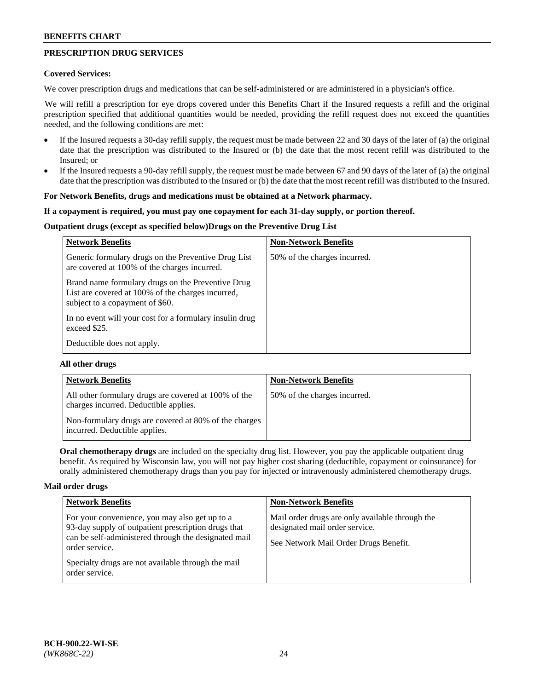# **PRESCRIPTION DRUG SERVICES**

## **Covered Services:**

We cover prescription drugs and medications that can be self-administered or are administered in a physician's office.

We will refill a prescription for eye drops covered under this Benefits Chart if the Insured requests a refill and the original prescription specified that additional quantities would be needed, providing the refill request does not exceed the quantities needed, and the following conditions are met:

- If the Insured requests a 30-day refill supply, the request must be made between 22 and 30 days of the later of (a) the original date that the prescription was distributed to the Insured or (b) the date that the most recent refill was distributed to the Insured; or
- If the Insured requests a 90-day refill supply, the request must be made between 67 and 90 days of the later of (a) the original date that the prescription was distributed to the Insured or (b) the date that the most recent refill was distributed to the Insured.

### **For Network Benefits, drugs and medications must be obtained at a Network pharmacy.**

### **If a copayment is required, you must pay one copayment for each 31-day supply, or portion thereof.**

# **Outpatient drugs (except as specified below)Drugs on the Preventive Drug List**

| <b>Network Benefits</b>                                                                                                                   | <b>Non-Network Benefits</b>  |
|-------------------------------------------------------------------------------------------------------------------------------------------|------------------------------|
| Generic formulary drugs on the Preventive Drug List<br>are covered at 100% of the charges incurred.                                       | 50% of the charges incurred. |
| Brand name formulary drugs on the Preventive Drug<br>List are covered at 100% of the charges incurred,<br>subject to a copayment of \$60. |                              |
| In no event will your cost for a formulary insulin drug<br>exceed \$25.                                                                   |                              |
| Deductible does not apply.                                                                                                                |                              |

# **All other drugs**

| <b>Network Benefits</b>                                                                       | <b>Non-Network Benefits</b>  |
|-----------------------------------------------------------------------------------------------|------------------------------|
| All other formulary drugs are covered at 100% of the<br>charges incurred. Deductible applies. | 50% of the charges incurred. |
| Non-formulary drugs are covered at 80% of the charges<br>incurred. Deductible applies.        |                              |

**Oral chemotherapy drugs** are included on the specialty drug list. However, you pay the applicable outpatient drug benefit. As required by Wisconsin law, you will not pay higher cost sharing (deductible, copayment or coinsurance) for orally administered chemotherapy drugs than you pay for injected or intravenously administered chemotherapy drugs.

#### **Mail order drugs**

| <b>Network Benefits</b>                                                                                                                                                                                                                                 | <b>Non-Network Benefits</b>                                                                                                |
|---------------------------------------------------------------------------------------------------------------------------------------------------------------------------------------------------------------------------------------------------------|----------------------------------------------------------------------------------------------------------------------------|
| For your convenience, you may also get up to a<br>93-day supply of outpatient prescription drugs that<br>can be self-administered through the designated mail<br>order service.<br>Specialty drugs are not available through the mail<br>order service. | Mail order drugs are only available through the<br>designated mail order service.<br>See Network Mail Order Drugs Benefit. |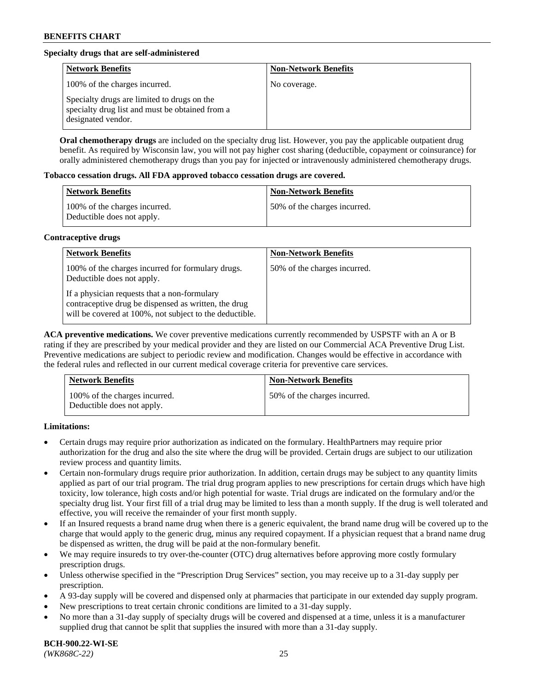# **Specialty drugs that are self-administered**

| <b>Network Benefits</b>                                                                                              | <b>Non-Network Benefits</b> |
|----------------------------------------------------------------------------------------------------------------------|-----------------------------|
| 100% of the charges incurred.                                                                                        | No coverage.                |
| Specialty drugs are limited to drugs on the<br>specialty drug list and must be obtained from a<br>designated vendor. |                             |

**Oral chemotherapy drugs** are included on the specialty drug list. However, you pay the applicable outpatient drug benefit. As required by Wisconsin law, you will not pay higher cost sharing (deductible, copayment or coinsurance) for orally administered chemotherapy drugs than you pay for injected or intravenously administered chemotherapy drugs.

### **Tobacco cessation drugs. All FDA approved tobacco cessation drugs are covered.**

| Network Benefits                                            | <b>Non-Network Benefits</b>   |
|-------------------------------------------------------------|-------------------------------|
| 100% of the charges incurred.<br>Deductible does not apply. | 150% of the charges incurred. |

# **Contraceptive drugs**

| <b>Network Benefits</b>                                                                                                                                         | <b>Non-Network Benefits</b>  |
|-----------------------------------------------------------------------------------------------------------------------------------------------------------------|------------------------------|
| 100% of the charges incurred for formulary drugs.<br>Deductible does not apply.                                                                                 | 50% of the charges incurred. |
| If a physician requests that a non-formulary<br>contraceptive drug be dispensed as written, the drug<br>will be covered at 100%, not subject to the deductible. |                              |

**ACA preventive medications.** We cover preventive medications currently recommended by USPSTF with an A or B rating if they are prescribed by your medical provider and they are listed on our Commercial ACA Preventive Drug List. Preventive medications are subject to periodic review and modification. Changes would be effective in accordance with the federal rules and reflected in our current medical coverage criteria for preventive care services.

| <b>Network Benefits</b>                                     | <b>Non-Network Benefits</b>  |
|-------------------------------------------------------------|------------------------------|
| 100% of the charges incurred.<br>Deductible does not apply. | 50% of the charges incurred. |

# **Limitations:**

- Certain drugs may require prior authorization as indicated on the formulary. HealthPartners may require prior authorization for the drug and also the site where the drug will be provided. Certain drugs are subject to our utilization review process and quantity limits.
- Certain non-formulary drugs require prior authorization. In addition, certain drugs may be subject to any quantity limits applied as part of our trial program. The trial drug program applies to new prescriptions for certain drugs which have high toxicity, low tolerance, high costs and/or high potential for waste. Trial drugs are indicated on the formulary and/or the specialty drug list. Your first fill of a trial drug may be limited to less than a month supply. If the drug is well tolerated and effective, you will receive the remainder of your first month supply.
- If an Insured requests a brand name drug when there is a generic equivalent, the brand name drug will be covered up to the charge that would apply to the generic drug, minus any required copayment. If a physician request that a brand name drug be dispensed as written, the drug will be paid at the non-formulary benefit.
- We may require insureds to try over-the-counter (OTC) drug alternatives before approving more costly formulary prescription drugs.
- Unless otherwise specified in the "Prescription Drug Services" section, you may receive up to a 31-day supply per prescription.
- A 93-day supply will be covered and dispensed only at pharmacies that participate in our extended day supply program.
- New prescriptions to treat certain chronic conditions are limited to a 31-day supply.
- No more than a 31-day supply of specialty drugs will be covered and dispensed at a time, unless it is a manufacturer supplied drug that cannot be split that supplies the insured with more than a 31-day supply.

**BCH-900.22-WI-SE**  *(WK868C-22)* 25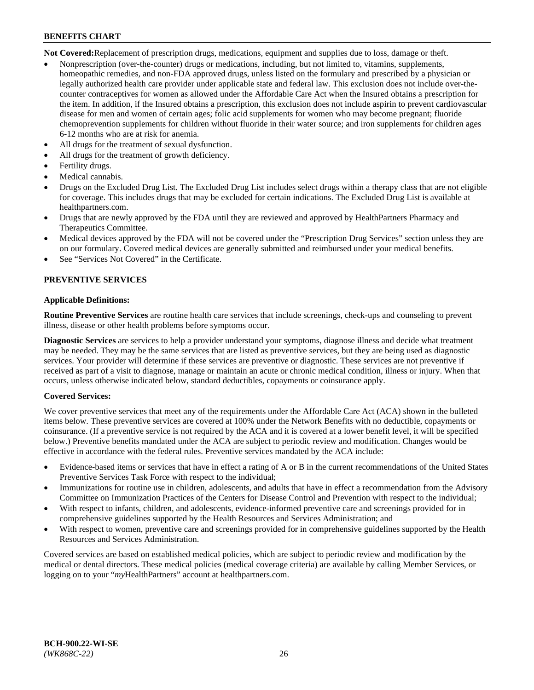**Not Covered:**Replacement of prescription drugs, medications, equipment and supplies due to loss, damage or theft.

- Nonprescription (over-the-counter) drugs or medications, including, but not limited to, vitamins, supplements, homeopathic remedies, and non-FDA approved drugs, unless listed on the formulary and prescribed by a physician or legally authorized health care provider under applicable state and federal law. This exclusion does not include over-thecounter contraceptives for women as allowed under the Affordable Care Act when the Insured obtains a prescription for the item. In addition, if the Insured obtains a prescription, this exclusion does not include aspirin to prevent cardiovascular disease for men and women of certain ages; folic acid supplements for women who may become pregnant; fluoride chemoprevention supplements for children without fluoride in their water source; and iron supplements for children ages 6-12 months who are at risk for anemia.
- All drugs for the treatment of sexual dysfunction.
- All drugs for the treatment of growth deficiency.
- Fertility drugs.
- Medical cannabis.
- Drugs on the Excluded Drug List. The Excluded Drug List includes select drugs within a therapy class that are not eligible for coverage. This includes drugs that may be excluded for certain indications. The Excluded Drug List is available at [healthpartners.com.](http://www.healthpartners.com/)
- Drugs that are newly approved by the FDA until they are reviewed and approved by HealthPartners Pharmacy and Therapeutics Committee.
- Medical devices approved by the FDA will not be covered under the "Prescription Drug Services" section unless they are on our formulary. Covered medical devices are generally submitted and reimbursed under your medical benefits.
- See "Services Not Covered" in the Certificate.

# **PREVENTIVE SERVICES**

### **Applicable Definitions:**

**Routine Preventive Services** are routine health care services that include screenings, check-ups and counseling to prevent illness, disease or other health problems before symptoms occur.

**Diagnostic Services** are services to help a provider understand your symptoms, diagnose illness and decide what treatment may be needed. They may be the same services that are listed as preventive services, but they are being used as diagnostic services. Your provider will determine if these services are preventive or diagnostic. These services are not preventive if received as part of a visit to diagnose, manage or maintain an acute or chronic medical condition, illness or injury. When that occurs, unless otherwise indicated below, standard deductibles, copayments or coinsurance apply.

# **Covered Services:**

We cover preventive services that meet any of the requirements under the Affordable Care Act (ACA) shown in the bulleted items below. These preventive services are covered at 100% under the Network Benefits with no deductible, copayments or coinsurance. (If a preventive service is not required by the ACA and it is covered at a lower benefit level, it will be specified below.) Preventive benefits mandated under the ACA are subject to periodic review and modification. Changes would be effective in accordance with the federal rules. Preventive services mandated by the ACA include:

- Evidence-based items or services that have in effect a rating of A or B in the current recommendations of the United States Preventive Services Task Force with respect to the individual;
- Immunizations for routine use in children, adolescents, and adults that have in effect a recommendation from the Advisory Committee on Immunization Practices of the Centers for Disease Control and Prevention with respect to the individual;
- With respect to infants, children, and adolescents, evidence-informed preventive care and screenings provided for in comprehensive guidelines supported by the Health Resources and Services Administration; and
- With respect to women, preventive care and screenings provided for in comprehensive guidelines supported by the Health Resources and Services Administration.

Covered services are based on established medical policies, which are subject to periodic review and modification by the medical or dental directors. These medical policies (medical coverage criteria) are available by calling Member Services, or logging on to your "*my*HealthPartners" account at [healthpartners.com.](https://www.healthpartners.com/hp/index.html)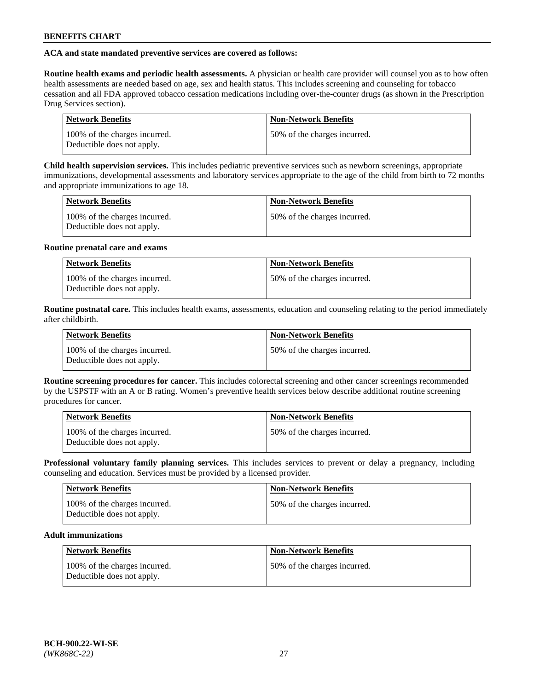# **ACA and state mandated preventive services are covered as follows:**

**Routine health exams and periodic health assessments.** A physician or health care provider will counsel you as to how often health assessments are needed based on age, sex and health status. This includes screening and counseling for tobacco cessation and all FDA approved tobacco cessation medications including over-the-counter drugs (as shown in the Prescription Drug Services section).

| <b>Network Benefits</b>                                     | <b>Non-Network Benefits</b>   |
|-------------------------------------------------------------|-------------------------------|
| 100% of the charges incurred.<br>Deductible does not apply. | 150% of the charges incurred. |

**Child health supervision services.** This includes pediatric preventive services such as newborn screenings, appropriate immunizations, developmental assessments and laboratory services appropriate to the age of the child from birth to 72 months and appropriate immunizations to age 18.

| <b>Network Benefits</b>                                     | <b>Non-Network Benefits</b>  |
|-------------------------------------------------------------|------------------------------|
| 100% of the charges incurred.<br>Deductible does not apply. | 50% of the charges incurred. |

### **Routine prenatal care and exams**

| <b>Network Benefits</b>                                     | <b>Non-Network Benefits</b>  |
|-------------------------------------------------------------|------------------------------|
| 100% of the charges incurred.<br>Deductible does not apply. | 50% of the charges incurred. |

**Routine postnatal care.** This includes health exams, assessments, education and counseling relating to the period immediately after childbirth.

| <b>Network Benefits</b>                                     | <b>Non-Network Benefits</b>  |
|-------------------------------------------------------------|------------------------------|
| 100% of the charges incurred.<br>Deductible does not apply. | 50% of the charges incurred. |

**Routine screening procedures for cancer.** This includes colorectal screening and other cancer screenings recommended by the USPSTF with an A or B rating. Women's preventive health services below describe additional routine screening procedures for cancer.

| <b>Network Benefits</b>                                     | <b>Non-Network Benefits</b>   |
|-------------------------------------------------------------|-------------------------------|
| 100% of the charges incurred.<br>Deductible does not apply. | 150% of the charges incurred. |

**Professional voluntary family planning services.** This includes services to prevent or delay a pregnancy, including counseling and education. Services must be provided by a licensed provider.

| <b>Network Benefits</b>                                     | <b>Non-Network Benefits</b>  |
|-------------------------------------------------------------|------------------------------|
| 100% of the charges incurred.<br>Deductible does not apply. | 50% of the charges incurred. |

# **Adult immunizations**

| Network Benefits                                            | <b>Non-Network Benefits</b>  |
|-------------------------------------------------------------|------------------------------|
| 100% of the charges incurred.<br>Deductible does not apply. | 50% of the charges incurred. |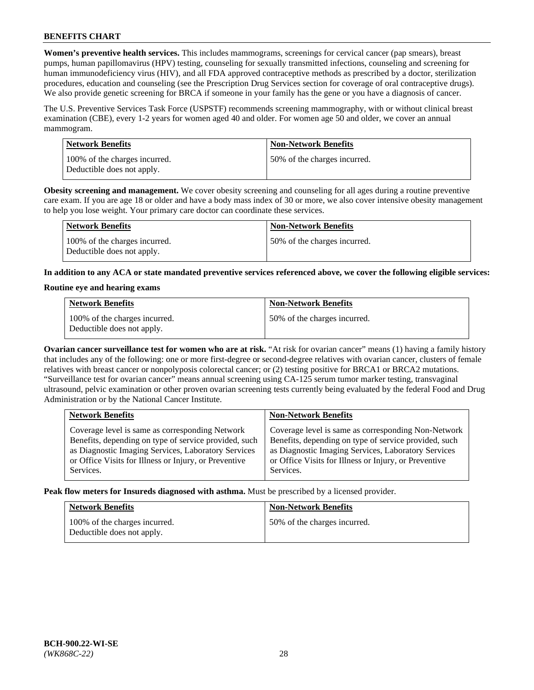**Women's preventive health services.** This includes mammograms, screenings for cervical cancer (pap smears), breast pumps, human papillomavirus (HPV) testing, counseling for sexually transmitted infections, counseling and screening for human immunodeficiency virus (HIV), and all FDA approved contraceptive methods as prescribed by a doctor, sterilization procedures, education and counseling (see the Prescription Drug Services section for coverage of oral contraceptive drugs). We also provide genetic screening for BRCA if someone in your family has the gene or you have a diagnosis of cancer.

The U.S. Preventive Services Task Force (USPSTF) recommends screening mammography, with or without clinical breast examination (CBE), every 1-2 years for women aged 40 and older. For women age 50 and older, we cover an annual mammogram.

| <b>Network Benefits</b>                                     | <b>Non-Network Benefits</b>  |
|-------------------------------------------------------------|------------------------------|
| 100% of the charges incurred.<br>Deductible does not apply. | 50% of the charges incurred. |

**Obesity screening and management.** We cover obesity screening and counseling for all ages during a routine preventive care exam. If you are age 18 or older and have a body mass index of 30 or more, we also cover intensive obesity management to help you lose weight. Your primary care doctor can coordinate these services.

| Network Benefits                                            | <b>Non-Network Benefits</b>  |
|-------------------------------------------------------------|------------------------------|
| 100% of the charges incurred.<br>Deductible does not apply. | 50% of the charges incurred. |

**In addition to any ACA or state mandated preventive services referenced above, we cover the following eligible services:**

### **Routine eye and hearing exams**

| <b>Network Benefits</b>                                     | <b>Non-Network Benefits</b>  |
|-------------------------------------------------------------|------------------------------|
| 100% of the charges incurred.<br>Deductible does not apply. | 50% of the charges incurred. |

**Ovarian cancer surveillance test for women who are at risk.** "At risk for ovarian cancer" means (1) having a family history that includes any of the following: one or more first-degree or second-degree relatives with ovarian cancer, clusters of female relatives with breast cancer or nonpolyposis colorectal cancer; or (2) testing positive for BRCA1 or BRCA2 mutations. "Surveillance test for ovarian cancer" means annual screening using CA-125 serum tumor marker testing, transvaginal ultrasound, pelvic examination or other proven ovarian screening tests currently being evaluated by the federal Food and Drug Administration or by the National Cancer Institute.

| <b>Network Benefits</b>                               | <b>Non-Network Benefits</b>                           |
|-------------------------------------------------------|-------------------------------------------------------|
| Coverage level is same as corresponding Network       | Coverage level is same as corresponding Non-Network   |
| Benefits, depending on type of service provided, such | Benefits, depending on type of service provided, such |
| as Diagnostic Imaging Services, Laboratory Services   | as Diagnostic Imaging Services, Laboratory Services   |
| or Office Visits for Illness or Injury, or Preventive | or Office Visits for Illness or Injury, or Preventive |
| Services.                                             | Services.                                             |

**Peak flow meters for Insureds diagnosed with asthma.** Must be prescribed by a licensed provider.

| <b>Network Benefits</b>                                     | <b>Non-Network Benefits</b>  |
|-------------------------------------------------------------|------------------------------|
| 100% of the charges incurred.<br>Deductible does not apply. | 50% of the charges incurred. |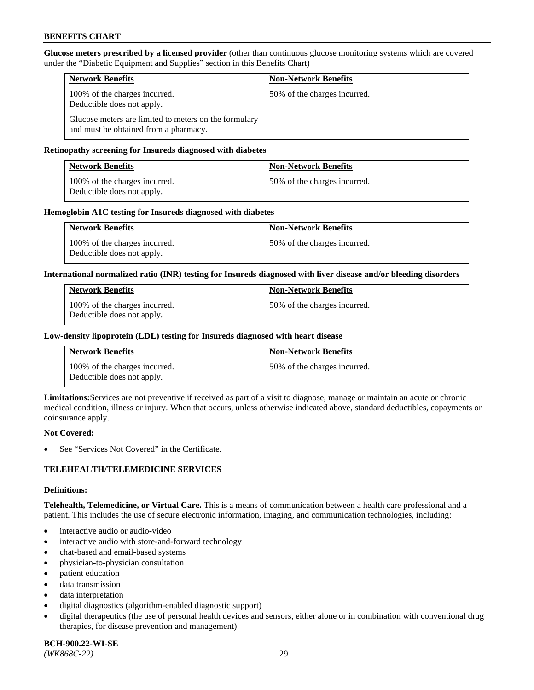**Glucose meters prescribed by a licensed provider** (other than continuous glucose monitoring systems which are covered under the "Diabetic Equipment and Supplies" section in this Benefits Chart)

| <b>Network Benefits</b>                                                                        | <b>Non-Network Benefits</b>  |
|------------------------------------------------------------------------------------------------|------------------------------|
| 100% of the charges incurred.<br>Deductible does not apply.                                    | 50% of the charges incurred. |
| Glucose meters are limited to meters on the formulary<br>and must be obtained from a pharmacy. |                              |

## **Retinopathy screening for Insureds diagnosed with diabetes**

| <b>Network Benefits</b>                                     | <b>Non-Network Benefits</b>  |
|-------------------------------------------------------------|------------------------------|
| 100% of the charges incurred.<br>Deductible does not apply. | 50% of the charges incurred. |

### **Hemoglobin A1C testing for Insureds diagnosed with diabetes**

| <b>Network Benefits</b>                                     | <b>Non-Network Benefits</b>  |
|-------------------------------------------------------------|------------------------------|
| 100% of the charges incurred.<br>Deductible does not apply. | 50% of the charges incurred. |

### **International normalized ratio (INR) testing for Insureds diagnosed with liver disease and/or bleeding disorders**

| <b>Network Benefits</b>                                     | <b>Non-Network Benefits</b>  |
|-------------------------------------------------------------|------------------------------|
| 100% of the charges incurred.<br>Deductible does not apply. | 50% of the charges incurred. |

### **Low-density lipoprotein (LDL) testing for Insureds diagnosed with heart disease**

| <b>Network Benefits</b>                                     | <b>Non-Network Benefits</b>  |
|-------------------------------------------------------------|------------------------------|
| 100% of the charges incurred.<br>Deductible does not apply. | 50% of the charges incurred. |

**Limitations:**Services are not preventive if received as part of a visit to diagnose, manage or maintain an acute or chronic medical condition, illness or injury. When that occurs, unless otherwise indicated above, standard deductibles, copayments or coinsurance apply.

#### **Not Covered:**

See "Services Not Covered" in the Certificate.

# **TELEHEALTH/TELEMEDICINE SERVICES**

#### **Definitions:**

**Telehealth, Telemedicine, or Virtual Care.** This is a means of communication between a health care professional and a patient. This includes the use of secure electronic information, imaging, and communication technologies, including:

- interactive audio or audio-video
- interactive audio with store-and-forward technology
- chat-based and email-based systems
- physician-to-physician consultation
- patient education
- data transmission
- data interpretation
- digital diagnostics (algorithm-enabled diagnostic support)
- digital therapeutics (the use of personal health devices and sensors, either alone or in combination with conventional drug therapies, for disease prevention and management)

**BCH-900.22-WI-SE**  *(WK868C-22)* 29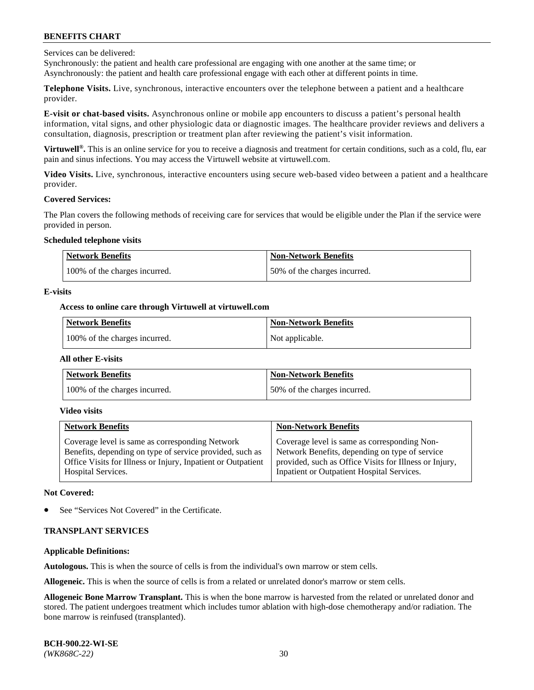Services can be delivered:

Synchronously: the patient and health care professional are engaging with one another at the same time; or Asynchronously: the patient and health care professional engage with each other at different points in time.

**Telephone Visits.** Live, synchronous, interactive encounters over the telephone between a patient and a healthcare provider.

**E-visit or chat-based visits.** Asynchronous online or mobile app encounters to discuss a patient's personal health information, vital signs, and other physiologic data or diagnostic images. The healthcare provider reviews and delivers a consultation, diagnosis, prescription or treatment plan after reviewing the patient's visit information.

**Virtuwell®.** This is an online service for you to receive a diagnosis and treatment for certain conditions, such as a cold, flu, ear pain and sinus infections. You may access the Virtuwell website at [virtuwell.com.](https://www.virtuwell.com/)

**Video Visits.** Live, synchronous, interactive encounters using secure web-based video between a patient and a healthcare provider.

#### **Covered Services:**

The Plan covers the following methods of receiving care for services that would be eligible under the Plan if the service were provided in person.

#### **Scheduled telephone visits**

| Network Benefits              | <b>Non-Network Benefits</b>  |
|-------------------------------|------------------------------|
| 100% of the charges incurred. | 50% of the charges incurred. |

### **E-visits**

## **Access to online care through Virtuwell at [virtuwell.com](https://www.virtuwell.com/)**

| Network Benefits              | <b>Non-Network Benefits</b> |
|-------------------------------|-----------------------------|
| 100% of the charges incurred. | Not applicable.             |

#### **All other E-visits**

| <b>Network Benefits</b>       | <b>Non-Network Benefits</b>  |
|-------------------------------|------------------------------|
| 100% of the charges incurred. | 50% of the charges incurred. |

#### **Video visits**

| <b>Network Benefits</b>                                      | <b>Non-Network Benefits</b>                            |
|--------------------------------------------------------------|--------------------------------------------------------|
| Coverage level is same as corresponding Network              | Coverage level is same as corresponding Non-           |
| Benefits, depending on type of service provided, such as     | Network Benefits, depending on type of service         |
| Office Visits for Illness or Injury, Inpatient or Outpatient | provided, such as Office Visits for Illness or Injury, |
| <b>Hospital Services.</b>                                    | Inpatient or Outpatient Hospital Services.             |

#### **Not Covered:**

See "Services Not Covered" in the Certificate.

# **TRANSPLANT SERVICES**

# **Applicable Definitions:**

**Autologous.** This is when the source of cells is from the individual's own marrow or stem cells.

**Allogeneic.** This is when the source of cells is from a related or unrelated donor's marrow or stem cells.

**Allogeneic Bone Marrow Transplant.** This is when the bone marrow is harvested from the related or unrelated donor and stored. The patient undergoes treatment which includes tumor ablation with high-dose chemotherapy and/or radiation. The bone marrow is reinfused (transplanted).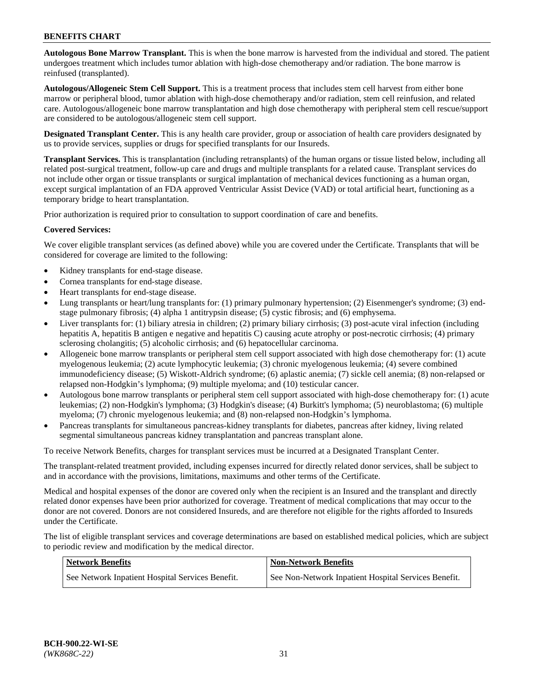**Autologous Bone Marrow Transplant.** This is when the bone marrow is harvested from the individual and stored. The patient undergoes treatment which includes tumor ablation with high-dose chemotherapy and/or radiation. The bone marrow is reinfused (transplanted).

**Autologous/Allogeneic Stem Cell Support.** This is a treatment process that includes stem cell harvest from either bone marrow or peripheral blood, tumor ablation with high-dose chemotherapy and/or radiation, stem cell reinfusion, and related care. Autologous/allogeneic bone marrow transplantation and high dose chemotherapy with peripheral stem cell rescue/support are considered to be autologous/allogeneic stem cell support.

**Designated Transplant Center.** This is any health care provider, group or association of health care providers designated by us to provide services, supplies or drugs for specified transplants for our Insureds.

**Transplant Services.** This is transplantation (including retransplants) of the human organs or tissue listed below, including all related post-surgical treatment, follow-up care and drugs and multiple transplants for a related cause. Transplant services do not include other organ or tissue transplants or surgical implantation of mechanical devices functioning as a human organ, except surgical implantation of an FDA approved Ventricular Assist Device (VAD) or total artificial heart, functioning as a temporary bridge to heart transplantation.

Prior authorization is required prior to consultation to support coordination of care and benefits.

### **Covered Services:**

We cover eligible transplant services (as defined above) while you are covered under the Certificate. Transplants that will be considered for coverage are limited to the following:

- Kidney transplants for end-stage disease.
- Cornea transplants for end-stage disease.
- Heart transplants for end-stage disease.
- Lung transplants or heart/lung transplants for: (1) primary pulmonary hypertension; (2) Eisenmenger's syndrome; (3) endstage pulmonary fibrosis; (4) alpha 1 antitrypsin disease; (5) cystic fibrosis; and (6) emphysema.
- Liver transplants for: (1) biliary atresia in children; (2) primary biliary cirrhosis; (3) post-acute viral infection (including hepatitis A, hepatitis B antigen e negative and hepatitis C) causing acute atrophy or post-necrotic cirrhosis; (4) primary sclerosing cholangitis; (5) alcoholic cirrhosis; and (6) hepatocellular carcinoma.
- Allogeneic bone marrow transplants or peripheral stem cell support associated with high dose chemotherapy for: (1) acute myelogenous leukemia; (2) acute lymphocytic leukemia; (3) chronic myelogenous leukemia; (4) severe combined immunodeficiency disease; (5) Wiskott-Aldrich syndrome; (6) aplastic anemia; (7) sickle cell anemia; (8) non-relapsed or relapsed non-Hodgkin's lymphoma; (9) multiple myeloma; and (10) testicular cancer.
- Autologous bone marrow transplants or peripheral stem cell support associated with high-dose chemotherapy for: (1) acute leukemias; (2) non-Hodgkin's lymphoma; (3) Hodgkin's disease; (4) Burkitt's lymphoma; (5) neuroblastoma; (6) multiple myeloma; (7) chronic myelogenous leukemia; and (8) non-relapsed non-Hodgkin's lymphoma.
- Pancreas transplants for simultaneous pancreas-kidney transplants for diabetes, pancreas after kidney, living related segmental simultaneous pancreas kidney transplantation and pancreas transplant alone.

To receive Network Benefits, charges for transplant services must be incurred at a Designated Transplant Center.

The transplant-related treatment provided, including expenses incurred for directly related donor services, shall be subject to and in accordance with the provisions, limitations, maximums and other terms of the Certificate.

Medical and hospital expenses of the donor are covered only when the recipient is an Insured and the transplant and directly related donor expenses have been prior authorized for coverage. Treatment of medical complications that may occur to the donor are not covered. Donors are not considered Insureds, and are therefore not eligible for the rights afforded to Insureds under the Certificate.

The list of eligible transplant services and coverage determinations are based on established medical policies, which are subject to periodic review and modification by the medical director.

| <b>Network Benefits</b>                          | Non-Network Benefits                                 |
|--------------------------------------------------|------------------------------------------------------|
| See Network Inpatient Hospital Services Benefit. | See Non-Network Inpatient Hospital Services Benefit. |